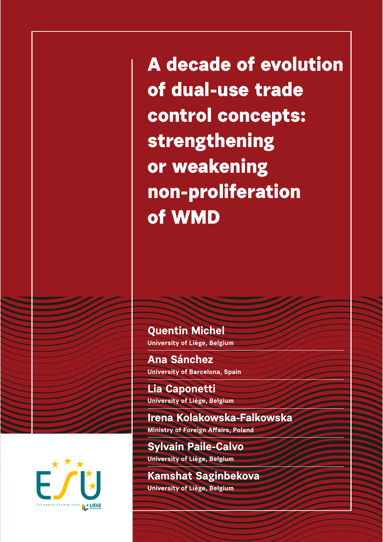**A decade of evolution of dual-use trade control concepts: strengthening or weakening non-proliferation of WMD**

**Quentin Michel University of Liège, Belgium**

**Ana Sánchez University of Barcelona, Spain**

**Lia Caponetti University of Liège, Belgium**

**Irena Kolakowska-Falkowska Ministry of Foreign A!airs, Poland**

**Sylvain Paile-Calvo University of Liège, Belgium**

**Kamshat Saginbekova University of Liège, Belgium**

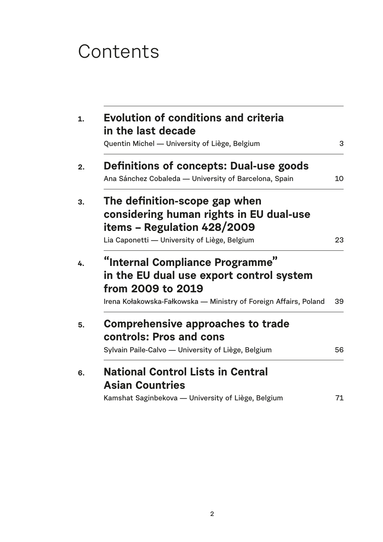# **Contents**

| <b>Evolution of conditions and criteria</b><br>in the last decade |    |
|-------------------------------------------------------------------|----|
| Quentin Michel - University of Liège, Belgium                     | 3  |
| <b>Definitions of concepts: Dual-use goods</b>                    |    |
| Ana Sánchez Cobaleda - University of Barcelona, Spain             | 10 |
| The definition-scope gap when                                     |    |
| considering human rights in EU dual-use                           |    |
| items - Regulation 428/2009                                       |    |
| Lia Caponetti - University of Liège, Belgium                      | 23 |
|                                                                   |    |
| "Internal Compliance Programme"                                   |    |
| in the EU dual use export control system                          |    |
| from 2009 to 2019                                                 |    |
| Irena Kołakowska-Fałkowska — Ministry of Foreign Affairs, Poland  | 39 |
| <b>Comprehensive approaches to trade</b>                          |    |
| controls: Pros and cons                                           |    |
| Sylvain Paile-Calvo - University of Liège, Belgium                | 56 |
| <b>National Control Lists in Central</b>                          |    |
|                                                                   |    |
| <b>Asian Countries</b>                                            |    |
| Kamshat Saginbekova - University of Liège, Belgium                | 71 |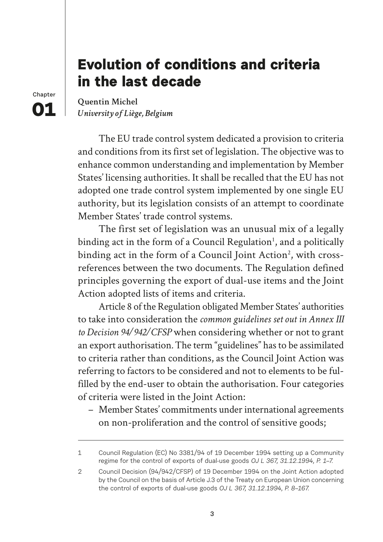# **Evolution of conditions and criteria in the last decade**

**Chapter 01**

**Quentin Michel** *University of Liège, Belgium*

The EU trade control system dedicated a provision to criteria and conditions from its first set of legislation. The objective was to enhance common understanding and implementation by Member States' licensing authorities. It shall be recalled that the EU has not adopted one trade control system implemented by one single EU authority, but its legislation consists of an attempt to coordinate Member States' trade control systems.

The first set of legislation was an unusual mix of a legally binding act in the form of a Council Regulation<sup>1</sup>, and a politically binding act in the form of a Council Joint Action<sup>2</sup>, with crossreferences between the two documents. The Regulation defined principles governing the export of dual-use items and the Joint Action adopted lists of items and criteria.

Article 8 of the Regulation obligated Member States' authorities to take into consideration the *common guidelines set out in Annex III to Decision 94/942/CFSP* when considering whether or not to grant an export authorisation*.* The term "guidelines" has to be assimilated to criteria rather than conditions, as the Council Joint Action was referring to factors to be considered and not to elements to be fulfilled by the end-user to obtain the authorisation. Four categories of criteria were listed in the Joint Action:

– Member States' commitments under international agreements on non-proliferation and the control of sensitive goods;

<sup>1</sup> Council Regulation (EC) No 3381/94 of 19 December 1994 setting up a Community regime for the control of exports of dual-use goods *OJ L 367, 31.12.1994, P. 1–7.*

<sup>2</sup> Council Decision (94/942/CFSP) of 19 December 1994 on the Joint Action adopted by the Council on the basis of Article J.3 of the Treaty on European Union concerning the control of exports of dual-use goods *OJ L 367, 31.12.1994, P. 8–167.*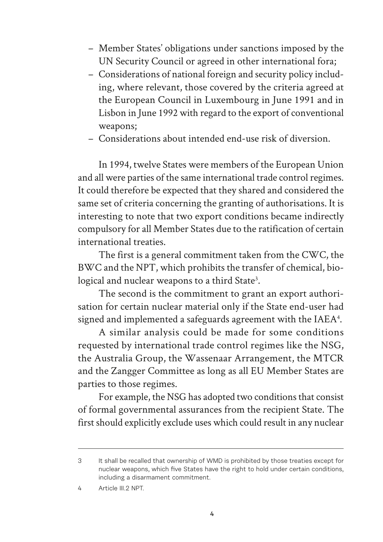- Member States' obligations under sanctions imposed by the UN Security Council or agreed in other international fora;
- Considerations of national foreign and security policy including, where relevant, those covered by the criteria agreed at the European Council in Luxembourg in June 1991 and in Lisbon in June 1992 with regard to the export of conventional weapons;
- Considerations about intended end-use risk of diversion.

In 1994, twelve States were members of the European Union and all were parties of the same international trade control regimes. It could therefore be expected that they shared and considered the same set of criteria concerning the granting of authorisations. It is interesting to note that two export conditions became indirectly compulsory for all Member States due to the ratification of certain international treaties.

The first is a general commitment taken from the CWC, the BWC and the NPT, which prohibits the transfer of chemical, biological and nuclear weapons to a third State<sup>3</sup>.

The second is the commitment to grant an export authorisation for certain nuclear material only if the State end-user had signed and implemented a safeguards agreement with the IAEA<sup>4</sup>.

A similar analysis could be made for some conditions requested by international trade control regimes like the NSG, the Australia Group, the Wassenaar Arrangement, the MTCR and the Zangger Committee as long as all EU Member States are parties to those regimes.

For example, the NSG has adopted two conditions that consist of formal governmental assurances from the recipient State. The first should explicitly exclude uses which could result in any nuclear

<sup>3</sup> It shall be recalled that ownership of WMD is prohibited by those treaties except for nuclear weapons, which five States have the right to hold under certain conditions, including a disarmament commitment.

<sup>4</sup> Article III.2 NPT.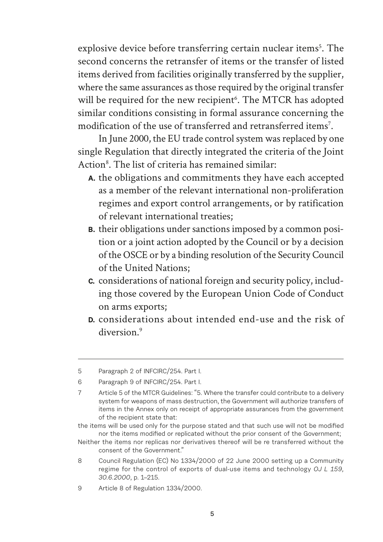explosive device before transferring certain nuclear items<sup>5</sup>. The second concerns the retransfer of items or the transfer of listed items derived from facilities originally transferred by the supplier, where the same assurances as those required by the original transfer will be required for the new recipient<sup>6</sup>. The MTCR has adopted similar conditions consisting in formal assurance concerning the modification of the use of transferred and retransferred items<sup>7</sup>.

In June 2000, the EU trade control system was replaced by one single Regulation that directly integrated the criteria of the Joint Action<sup>8</sup>. The list of criteria has remained similar:

- **A.** the obligations and commitments they have each accepted as a member of the relevant international non-proliferation regimes and export control arrangements, or by ratification of relevant international treaties;
- **B.** their obligations under sanctions imposed by a common position or a joint action adopted by the Council or by a decision of the OSCE or by a binding resolution of the Security Council of the United Nations;
- **C.** considerations of national foreign and security policy, including those covered by the European Union Code of Conduct on arms exports;
- **D.** considerations about intended end-use and the risk of diversion.<sup>9</sup>

<sup>5</sup> Paragraph 2 of INFCIRC/254. Part I.

<sup>6</sup> Paragraph 9 of INFCIRC/254. Part I.

<sup>7</sup> Article 5 of the MTCR Guidelines: "5. Where the transfer could contribute to a delivery system for weapons of mass destruction, the Government will authorize transfers of items in the Annex only on receipt of appropriate assurances from the government of the recipient state that:

the items will be used only for the purpose stated and that such use will not be modified nor the items modified or replicated without the prior consent of the Government;

Neither the items nor replicas nor derivatives thereof will be re transferred without the consent of the Government."

<sup>8</sup> Council Regulation (EC) No 1334/2000 of 22 June 2000 setting up a Community regime for the control of exports of dual-use items and technology *OJ L 159, 30.6.2000*, p. 1–215.

<sup>9</sup> Article 8 of Regulation 1334/2000.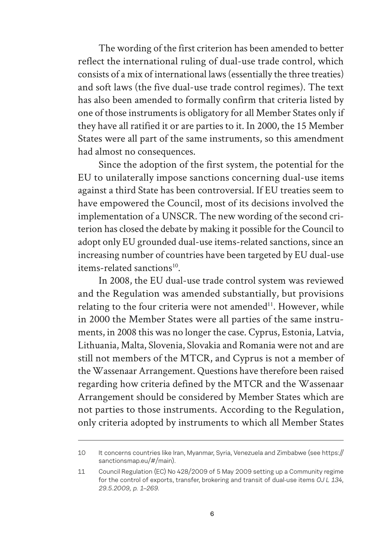The wording of the first criterion has been amended to better reflect the international ruling of dual-use trade control, which consists of a mix of international laws (essentially the three treaties) and soft laws (the five dual-use trade control regimes). The text has also been amended to formally confirm that criteria listed by one of those instruments is obligatory for all Member States only if they have all ratified it or are parties to it. In 2000, the 15 Member States were all part of the same instruments, so this amendment had almost no consequences.

Since the adoption of the first system, the potential for the EU to unilaterally impose sanctions concerning dual-use items against a third State has been controversial. If EU treaties seem to have empowered the Council, most of its decisions involved the implementation of a UNSCR. The new wording of the second criterion has closed the debate by making it possible for the Council to adopt only EU grounded dual-use items-related sanctions, since an increasing number of countries have been targeted by EU dual-use items-related sanctions<sup>10</sup>.

In 2008, the EU dual-use trade control system was reviewed and the Regulation was amended substantially, but provisions relating to the four criteria were not amended $11$ . However, while in 2000 the Member States were all parties of the same instruments, in 2008 this was no longer the case. Cyprus, Estonia, Latvia, Lithuania, Malta, Slovenia, Slovakia and Romania were not and are still not members of the MTCR, and Cyprus is not a member of the Wassenaar Arrangement. Questions have therefore been raised regarding how criteria defined by the MTCR and the Wassenaar Arrangement should be considered by Member States which are not parties to those instruments. According to the Regulation, only criteria adopted by instruments to which all Member States

<sup>10</sup> It concerns countries like Iran, Myanmar, Syria, Venezuela and Zimbabwe (see https:// sanctionsmap.eu/#/main).

<sup>11</sup> Council Regulation (EC) No 428/2009 of 5 May 2009 setting up a Community regime for the control of exports, transfer, brokering and transit of dual-use items *OJ L 134, 29.5.2009, p. 1–269.*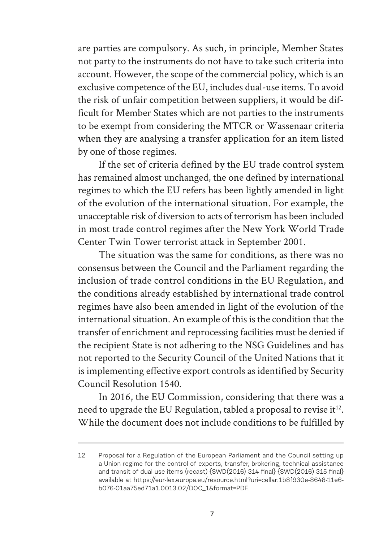are parties are compulsory. As such, in principle, Member States not party to the instruments do not have to take such criteria into account. However, the scope of the commercial policy, which is an exclusive competence of the EU, includes dual-use items. To avoid the risk of unfair competition between suppliers, it would be difficult for Member States which are not parties to the instruments to be exempt from considering the MTCR or Wassenaar criteria when they are analysing a transfer application for an item listed by one of those regimes.

If the set of criteria defined by the EU trade control system has remained almost unchanged, the one defined by international regimes to which the EU refers has been lightly amended in light of the evolution of the international situation. For example, the unacceptable risk of diversion to acts of terrorism has been included in most trade control regimes after the New York World Trade Center Twin Tower terrorist attack in September 2001.

The situation was the same for conditions, as there was no consensus between the Council and the Parliament regarding the inclusion of trade control conditions in the EU Regulation, and the conditions already established by international trade control regimes have also been amended in light of the evolution of the international situation. An example of this is the condition that the transfer of enrichment and reprocessing facilities must be denied if the recipient State is not adhering to the NSG Guidelines and has not reported to the Security Council of the United Nations that it is implementing effective export controls as identified by Security Council Resolution 1540.

In 2016, the EU Commission, considering that there was a need to upgrade the EU Regulation, tabled a proposal to revise it $^{12}$ . While the document does not include conditions to be fulfilled by

<sup>12</sup> Proposal for a Regulation of the European Parliament and the Council setting up a Union regime for the control of exports, transfer, brokering, technical assistance and transit of dual-use items (recast) {SWD(2016) 314 final} {SWD(2016) 315 final} available at https://eur-lex.europa.eu/resource.html?uri=cellar:1b8f930e-8648-11e6 b076-01aa75ed71a1.0013.02/DOC\_1&format=PDF.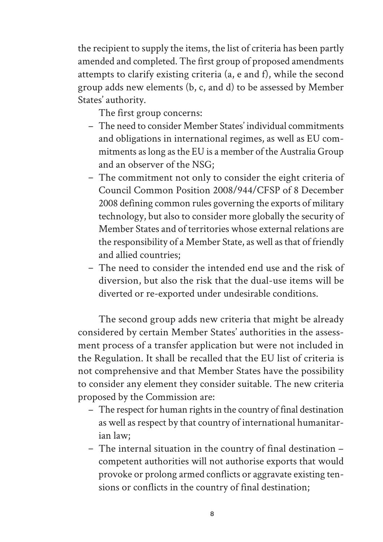the recipient to supply the items, the list of criteria has been partly amended and completed. The first group of proposed amendments attempts to clarify existing criteria (a, e and f), while the second group adds new elements (b, c, and d) to be assessed by Member States' authority.

The first group concerns:

- The need to consider Member States' individual commitments and obligations in international regimes, as well as EU commitments as long as the EU is a member of the Australia Group and an observer of the NSG;
- The commitment not only to consider the eight criteria of Council Common Position 2008/944/CFSP of 8 December 2008 defining common rules governing the exports of military technology, but also to consider more globally the security of Member States and of territories whose external relations are the responsibility of a Member State, as well as that of friendly and allied countries;
- The need to consider the intended end use and the risk of diversion, but also the risk that the dual-use items will be diverted or re-exported under undesirable conditions.

The second group adds new criteria that might be already considered by certain Member States' authorities in the assessment process of a transfer application but were not included in the Regulation. It shall be recalled that the EU list of criteria is not comprehensive and that Member States have the possibility to consider any element they consider suitable. The new criteria proposed by the Commission are:

- The respect for human rights in the country of final destination as well as respect by that country of international humanitarian law;
- The internal situation in the country of final destination competent authorities will not authorise exports that would provoke or prolong armed conflicts or aggravate existing tensions or conflicts in the country of final destination;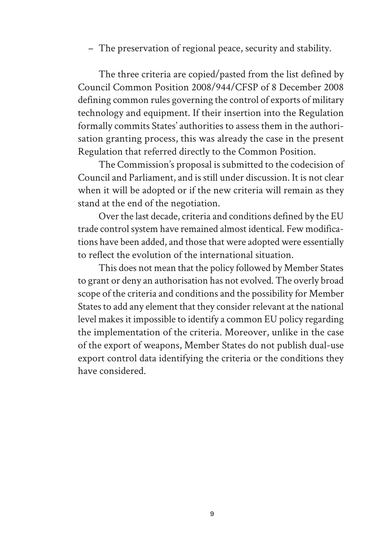– The preservation of regional peace, security and stability.

The three criteria are copied/pasted from the list defined by Council Common Position 2008/944/CFSP of 8 December 2008 defining common rules governing the control of exports of military technology and equipment. If their insertion into the Regulation formally commits States' authorities to assess them in the authorisation granting process, this was already the case in the present Regulation that referred directly to the Common Position.

The Commission's proposal is submitted to the codecision of Council and Parliament, and is still under discussion. It is not clear when it will be adopted or if the new criteria will remain as they stand at the end of the negotiation.

Over the last decade, criteria and conditions defined by the EU trade control system have remained almost identical. Few modifications have been added, and those that were adopted were essentially to reflect the evolution of the international situation.

This does not mean that the policy followed by Member States to grant or deny an authorisation has not evolved. The overly broad scope of the criteria and conditions and the possibility for Member States to add any element that they consider relevant at the national level makes it impossible to identify a common EU policy regarding the implementation of the criteria. Moreover, unlike in the case of the export of weapons, Member States do not publish dual-use export control data identifying the criteria or the conditions they have considered.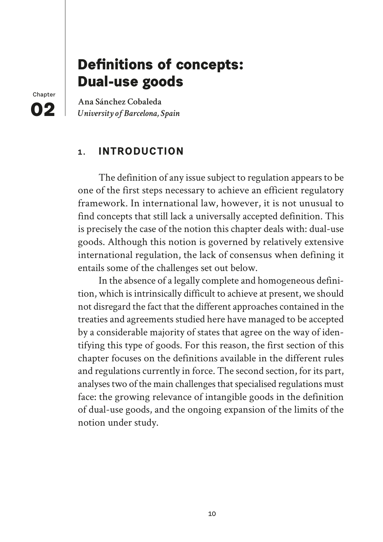# **Definitions of concepts: Dual-use goods**

**Chapter 02**

**Ana Sánchez Cobaleda** *University of Barcelona, Spain*

# **1. INTRODUCTION**

The definition of any issue subject to regulation appears to be one of the first steps necessary to achieve an efficient regulatory framework. In international law, however, it is not unusual to find concepts that still lack a universally accepted definition. This is precisely the case of the notion this chapter deals with: dual-use goods. Although this notion is governed by relatively extensive international regulation, the lack of consensus when defining it entails some of the challenges set out below.

In the absence of a legally complete and homogeneous definition, which is intrinsically difficult to achieve at present, we should not disregard the fact that the different approaches contained in the treaties and agreements studied here have managed to be accepted by a considerable majority of states that agree on the way of identifying this type of goods. For this reason, the first section of this chapter focuses on the definitions available in the different rules and regulations currently in force. The second section, for its part, analyses two of the main challenges that specialised regulations must face: the growing relevance of intangible goods in the definition of dual-use goods, and the ongoing expansion of the limits of the notion under study.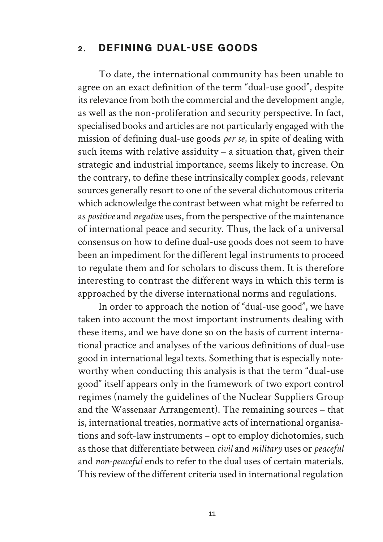#### **2. DEFINING DUAL-USE GOODS**

To date, the international community has been unable to agree on an exact definition of the term "dual-use good", despite its relevance from both the commercial and the development angle, as well as the non-proliferation and security perspective. In fact, specialised books and articles are not particularly engaged with the mission of defining dual-use goods *per se*, in spite of dealing with such items with relative assiduity – a situation that, given their strategic and industrial importance, seems likely to increase. On the contrary, to define these intrinsically complex goods, relevant sources generally resort to one of the several dichotomous criteria which acknowledge the contrast between what might be referred to as *positive* and *negative* uses, from the perspective of the maintenance of international peace and security. Thus, the lack of a universal consensus on how to define dual-use goods does not seem to have been an impediment for the different legal instruments to proceed to regulate them and for scholars to discuss them. It is therefore interesting to contrast the different ways in which this term is approached by the diverse international norms and regulations.

In order to approach the notion of "dual-use good", we have taken into account the most important instruments dealing with these items, and we have done so on the basis of current international practice and analyses of the various definitions of dual-use good in international legal texts. Something that is especially noteworthy when conducting this analysis is that the term "dual-use good" itself appears only in the framework of two export control regimes (namely the guidelines of the Nuclear Suppliers Group and the Wassenaar Arrangement). The remaining sources – that is, international treaties, normative acts of international organisations and soft-law instruments – opt to employ dichotomies, such as those that differentiate between *civil* and *military* uses or *peaceful* and *non-peaceful* ends to refer to the dual uses of certain materials. This review of the different criteria used in international regulation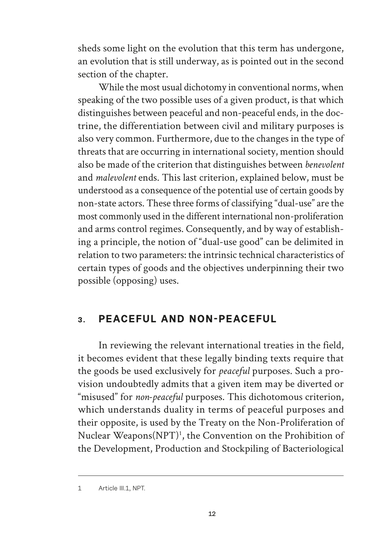sheds some light on the evolution that this term has undergone, an evolution that is still underway, as is pointed out in the second section of the chapter.

While the most usual dichotomy in conventional norms, when speaking of the two possible uses of a given product, is that which distinguishes between peaceful and non-peaceful ends, in the doctrine, the differentiation between civil and military purposes is also very common. Furthermore, due to the changes in the type of threats that are occurring in international society, mention should also be made of the criterion that distinguishes between *benevolent* and *malevolent* ends. This last criterion, explained below, must be understood as a consequence of the potential use of certain goods by non-state actors. These three forms of classifying "dual-use" are the most commonly used in the different international non-proliferation and arms control regimes. Consequently, and by way of establishing a principle, the notion of "dual-use good" can be delimited in relation to two parameters: the intrinsic technical characteristics of certain types of goods and the objectives underpinning their two possible (opposing) uses.

# **3. PEACEFUL AND NON-PEACEFUL**

In reviewing the relevant international treaties in the field, it becomes evident that these legally binding texts require that the goods be used exclusively for *peaceful* purposes. Such a provision undoubtedly admits that a given item may be diverted or "misused" for *non-peaceful* purposes. This dichotomous criterion, which understands duality in terms of peaceful purposes and their opposite, is used by the Treaty on the Non-Proliferation of Nuclear Weapons(NPT)<sup>1</sup>, the Convention on the Prohibition of the Development, Production and Stockpiling of Bacteriological

<sup>1</sup> Article III.1, NPT.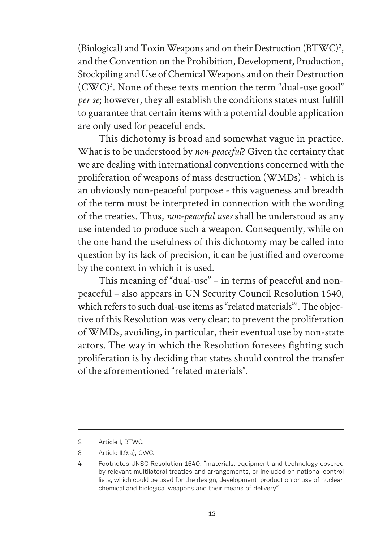(Biological) and Toxin Weapons and on their Destruction (BTWC)2 , and the Convention on the Prohibition, Development, Production, Stockpiling and Use of Chemical Weapons and on their Destruction (CWC)3 . None of these texts mention the term "dual-use good" *per se*; however, they all establish the conditions states must fulfill to guarantee that certain items with a potential double application are only used for peaceful ends.

This dichotomy is broad and somewhat vague in practice. What is to be understood by *non-peaceful*? Given the certainty that we are dealing with international conventions concerned with the proliferation of weapons of mass destruction (WMDs) - which is an obviously non-peaceful purpose - this vagueness and breadth of the term must be interpreted in connection with the wording of the treaties. Thus, *non-peaceful uses* shall be understood as any use intended to produce such a weapon. Consequently, while on the one hand the usefulness of this dichotomy may be called into question by its lack of precision, it can be justified and overcome by the context in which it is used.

This meaning of "dual-use" – in terms of peaceful and nonpeaceful – also appears in UN Security Council Resolution 1540, which refers to such dual-use items as "related materials"4 . The objective of this Resolution was very clear: to prevent the proliferation of WMDs, avoiding, in particular, their eventual use by non-state actors. The way in which the Resolution foresees fighting such proliferation is by deciding that states should control the transfer of the aforementioned "related materials".

<sup>2</sup> Article I, BTWC.

<sup>3</sup> Article II.9.a), CWC.

<sup>4</sup> Footnotes UNSC Resolution 1540: "materials, equipment and technology covered by relevant multilateral treaties and arrangements, or included on national control lists, which could be used for the design, development, production or use of nuclear, chemical and biological weapons and their means of delivery".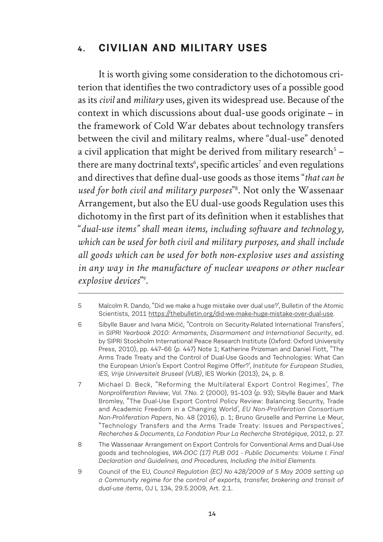### **4. CIVILIAN AND MILITARY USES**

It is worth giving some consideration to the dichotomous criterion that identifies the two contradictory uses of a possible good as its *civil* and *military* uses, given its widespread use. Because of the context in which discussions about dual-use goods originate – in the framework of Cold War debates about technology transfers between the civil and military realms, where "dual-use" denoted a civil application that might be derived from military research<sup>5</sup>  $$ there are many doctrinal texts $6$ , specific articles<sup>7</sup> and even regulations and directives that define dual-use goods as those items "*that can be used for both civil and military purposes*" 8 . Not only the Wassenaar Arrangement, but also the EU dual-use goods Regulation uses this dichotomy in the first part of its definition when it establishes that "*dual-use items" shall mean items, including software and technology, which can be used for both civil and military purposes, and shall include all goods which can be used for both non-explosive uses and assisting in any way in the manufacture of nuclear weapons or other nuclear*  explosive devices"<sup>9</sup>.

<sup>5</sup> Malcolm R. Dando, "Did we make a huge mistake over dual use?', Bulletin of the Atomic Scientists, 2011 https://thebulletin.org/did-we-make-huge-mistake-over-dual-use.

<sup>6</sup> Sibylle Bauer and Ivana Mićić, "Controls on Security-Related International Transfers', in *SIPRI Yearbook 2010: Armaments, Disarmament and International Security*, ed. by SIPRI Stockholm International Peace Research Institute (Oxford: Oxford University Press, 2010), pp. 447–66 (p. 447) Note 1; Katherine Prizeman and Daniel Fiott, "The Arms Trade Treaty and the Control of Dual-Use Goods and Technologies: What Can the European Union's Export Control Regime Offer?', *Institute for European Studies*, *IES, Vrije Universiteit Bruseel (VUB)*, IES Workin (2013), 24, p. 8.

<sup>7</sup> Michael D. Beck, "Reforming the Multilateral Export Control Regimes', *The Nonproliferation Review*, Vol. 7.No. 2 (2000), 91–103 (p. 93); Sibylle Bauer and Mark Bromley, "The Dual-Use Export Control Policy Review: Balancing Security, Trade and Academic Freedom in a Changing World', *EU Non-Proliferation Consortium Non-Proliferation Papers*, No. 48 (2016), p. 1; Bruno Gruselle and Perrine Le Meur, "Technology Transfers and the Arms Trade Treaty: Issues and Perspectives', *Recherches & Documents, La Fondation Pour La Recherche Stratégique*, 2012, p. 27.

<sup>8</sup> The Wassenaar Arrangement on Export Controls for Conventional Arms and Dual-Use goods and technologies, *WA-DOC (17) PUB 001 - Public Documents: Volume I. Final Declaration and Guidelines, and Procedures, Including the Initial Elements.*

<sup>9</sup> Council of the EU, *Council Regulation (EC) No 428/2009 of 5 May 2009 setting up a Community regime for the control of exports, transfer, brokering and transit of dual-use items*, OJ L 134, 29.5.2009, Art. 2.1.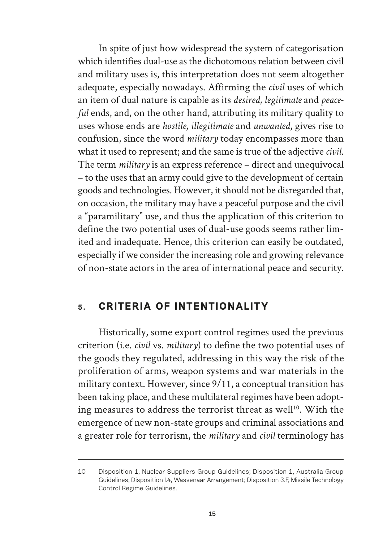In spite of just how widespread the system of categorisation which identifies dual-use as the dichotomous relation between civil and military uses is, this interpretation does not seem altogether adequate, especially nowadays. Affirming the *civil* uses of which an item of dual nature is capable as its *desired, legitimate* and *peaceful* ends, and, on the other hand, attributing its military quality to uses whose ends are *hostile, illegitimate* and *unwanted*, gives rise to confusion, since the word *military* today encompasses more than what it used to represent; and the same is true of the adjective *civil*. The term *military* is an express reference – direct and unequivocal – to the uses that an army could give to the development of certain goods and technologies. However, it should not be disregarded that, on occasion, the military may have a peaceful purpose and the civil a "paramilitary" use, and thus the application of this criterion to define the two potential uses of dual-use goods seems rather limited and inadequate. Hence, this criterion can easily be outdated, especially if we consider the increasing role and growing relevance of non-state actors in the area of international peace and security.

#### **5. CRITERIA OF INTENTIONALITY**

Historically, some export control regimes used the previous criterion (i.e. *civil* vs. *military*) to define the two potential uses of the goods they regulated, addressing in this way the risk of the proliferation of arms, weapon systems and war materials in the military context. However, since 9/11, a conceptual transition has been taking place, and these multilateral regimes have been adopting measures to address the terrorist threat as well<sup>10</sup>. With the emergence of new non-state groups and criminal associations and a greater role for terrorism, the *military* and *civil* terminology has

<sup>10</sup> Disposition 1, Nuclear Suppliers Group Guidelines; Disposition 1, Australia Group Guidelines; Disposition I.4, Wassenaar Arrangement; Disposition 3.F, Missile Technology Control Regime Guidelines.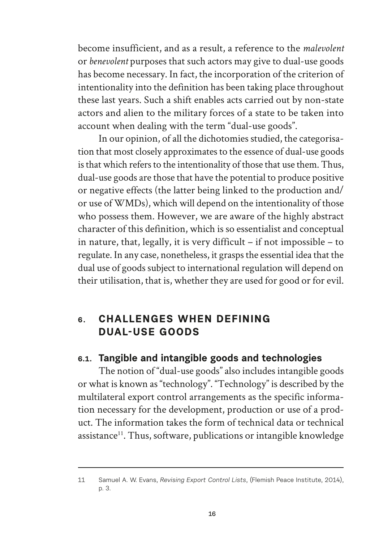become insufficient, and as a result, a reference to the *malevolent* or *benevolent* purposes that such actors may give to dual-use goods has become necessary. In fact, the incorporation of the criterion of intentionality into the definition has been taking place throughout these last years. Such a shift enables acts carried out by non-state actors and alien to the military forces of a state to be taken into account when dealing with the term "dual-use goods".

In our opinion, of all the dichotomies studied, the categorisation that most closely approximates to the essence of dual-use goods is that which refers to the intentionality of those that use them. Thus, dual-use goods are those that have the potential to produce positive or negative effects (the latter being linked to the production and/ or use of WMDs), which will depend on the intentionality of those who possess them. However, we are aware of the highly abstract character of this definition, which is so essentialist and conceptual in nature, that, legally, it is very difficult – if not impossible – to regulate. In any case, nonetheless, it grasps the essential idea that the dual use of goods subject to international regulation will depend on their utilisation, that is, whether they are used for good or for evil.

# **6. CHALLENGES WHEN DEFINING DUAL-USE GOODS**

#### **6.1. Tangible and intangible goods and technologies**

The notion of "dual-use goods" also includes intangible goods or what is known as "technology". "Technology" is described by the multilateral export control arrangements as the specific information necessary for the development, production or use of a product. The information takes the form of technical data or technical assistance<sup>11</sup>. Thus, software, publications or intangible knowledge

<sup>11</sup> Samuel A. W. Evans, *Revising Export Control Lists*, (Flemish Peace Institute, 2014), p. 3.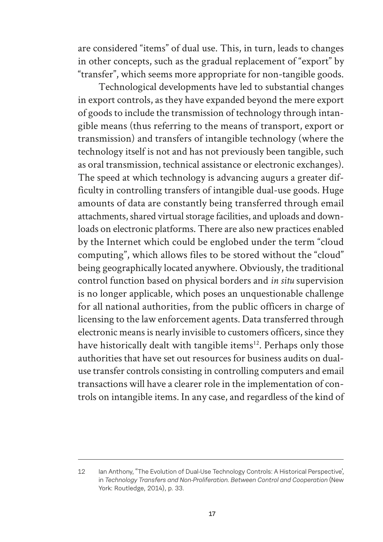are considered "items" of dual use. This, in turn, leads to changes in other concepts, such as the gradual replacement of "export" by "transfer", which seems more appropriate for non-tangible goods.

Technological developments have led to substantial changes in export controls, as they have expanded beyond the mere export of goods to include the transmission of technology through intangible means (thus referring to the means of transport, export or transmission) and transfers of intangible technology (where the technology itself is not and has not previously been tangible, such as oral transmission, technical assistance or electronic exchanges). The speed at which technology is advancing augurs a greater difficulty in controlling transfers of intangible dual-use goods. Huge amounts of data are constantly being transferred through email attachments, shared virtual storage facilities, and uploads and downloads on electronic platforms. There are also new practices enabled by the Internet which could be englobed under the term "cloud computing", which allows files to be stored without the "cloud" being geographically located anywhere. Obviously, the traditional control function based on physical borders and *in situ* supervision is no longer applicable, which poses an unquestionable challenge for all national authorities, from the public officers in charge of licensing to the law enforcement agents. Data transferred through electronic means is nearly invisible to customers officers, since they have historically dealt with tangible items<sup>12</sup>. Perhaps only those authorities that have set out resources for business audits on dualuse transfer controls consisting in controlling computers and email transactions will have a clearer role in the implementation of controls on intangible items. In any case, and regardless of the kind of

<sup>12</sup> Ian Anthony, "The Evolution of Dual-Use Technology Controls: A Historical Perspective', in *Technology Transfers and Non-Proliferation. Between Control and Cooperation* (New York: Routledge, 2014), p. 33.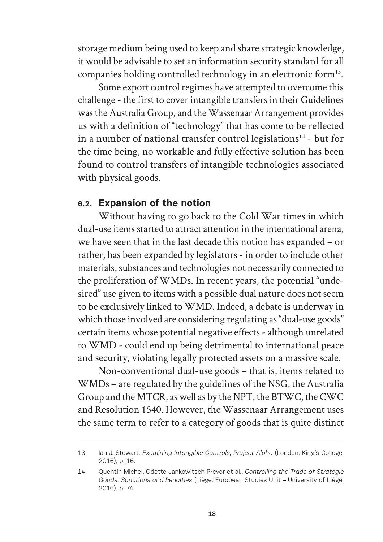storage medium being used to keep and share strategic knowledge, it would be advisable to set an information security standard for all companies holding controlled technology in an electronic form<sup>13</sup>.

Some export control regimes have attempted to overcome this challenge - the first to cover intangible transfers in their Guidelines was the Australia Group, and the Wassenaar Arrangement provides us with a definition of "technology" that has come to be reflected in a number of national transfer control legislations<sup>14</sup> - but for the time being, no workable and fully effective solution has been found to control transfers of intangible technologies associated with physical goods.

#### **6.2. Expansion of the notion**

Without having to go back to the Cold War times in which dual-use items started to attract attention in the international arena, we have seen that in the last decade this notion has expanded – or rather, has been expanded by legislators - in order to include other materials, substances and technologies not necessarily connected to the proliferation of WMDs. In recent years, the potential "undesired" use given to items with a possible dual nature does not seem to be exclusively linked to WMD. Indeed, a debate is underway in which those involved are considering regulating as "dual-use goods" certain items whose potential negative effects - although unrelated to WMD - could end up being detrimental to international peace and security, violating legally protected assets on a massive scale.

Non-conventional dual-use goods – that is, items related to WMDs – are regulated by the guidelines of the NSG, the Australia Group and the MTCR, as well as by the NPT, the BTWC, the CWC and Resolution 1540. However, the Wassenaar Arrangement uses the same term to refer to a category of goods that is quite distinct

<sup>13</sup> Ian J. Stewart*, Examining Intangible Controls, Project Alpha* (London: King's College, 2016), p. 16.

<sup>14</sup> Quentin Michel, Odette Jankowitsch-Prevor et al., *Controlling the Trade of Strategic Goods: Sanctions and Penalties* (Liège: European Studies Unit – University of Liège, 2016), p. 74.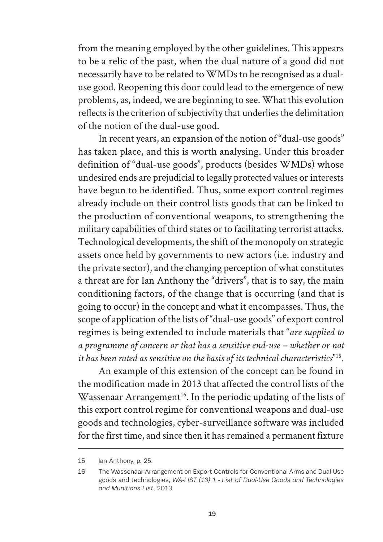from the meaning employed by the other guidelines. This appears to be a relic of the past, when the dual nature of a good did not necessarily have to be related to WMDs to be recognised as a dualuse good. Reopening this door could lead to the emergence of new problems, as, indeed, we are beginning to see. What this evolution reflects is the criterion of subjectivity that underlies the delimitation of the notion of the dual-use good.

In recent years, an expansion of the notion of "dual-use goods" has taken place, and this is worth analysing. Under this broader definition of "dual-use goods", products (besides WMDs) whose undesired ends are prejudicial to legally protected values or interests have begun to be identified. Thus, some export control regimes already include on their control lists goods that can be linked to the production of conventional weapons, to strengthening the military capabilities of third states or to facilitating terrorist attacks. Technological developments, the shift of the monopoly on strategic assets once held by governments to new actors (i.e. industry and the private sector), and the changing perception of what constitutes a threat are for Ian Anthony the "drivers", that is to say, the main conditioning factors, of the change that is occurring (and that is going to occur) in the concept and what it encompasses. Thus, the scope of application of the lists of "dual-use goods" of export control regimes is being extended to include materials that "*are supplied to a programme of concern or that has a sensitive end-use – whether or not it has been rated as sensitive on the basis of its technical characteristics*" 15.

An example of this extension of the concept can be found in the modification made in 2013 that affected the control lists of the Wassenaar Arrangement<sup>16</sup>. In the periodic updating of the lists of this export control regime for conventional weapons and dual-use goods and technologies, cyber-surveillance software was included for the first time, and since then it has remained a permanent fixture

<sup>15</sup> Ian Anthony, p. 25.

<sup>16</sup> The Wassenaar Arrangement on Export Controls for Conventional Arms and Dual-Use goods and technologies, *WA-LIST (13) 1 - List of Dual-Use Goods and Technologies and Munitions List*, 2013.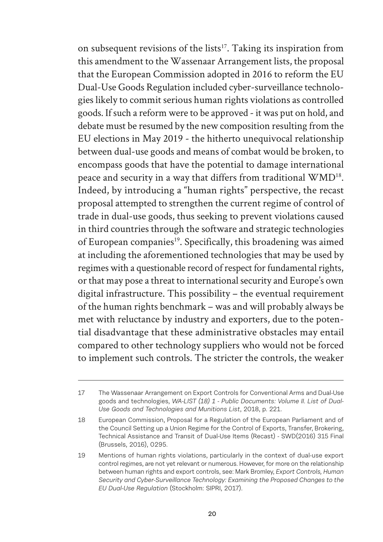on subsequent revisions of the lists<sup>17</sup>. Taking its inspiration from this amendment to the Wassenaar Arrangement lists, the proposal that the European Commission adopted in 2016 to reform the EU Dual-Use Goods Regulation included cyber-surveillance technologies likely to commit serious human rights violations as controlled goods. If such a reform were to be approved - it was put on hold, and debate must be resumed by the new composition resulting from the EU elections in May 2019 - the hitherto unequivocal relationship between dual-use goods and means of combat would be broken, to encompass goods that have the potential to damage international peace and security in a way that differs from traditional WMD<sup>18</sup>. Indeed, by introducing a "human rights" perspective, the recast proposal attempted to strengthen the current regime of control of trade in dual-use goods, thus seeking to prevent violations caused in third countries through the software and strategic technologies of European companies<sup>19</sup>. Specifically, this broadening was aimed at including the aforementioned technologies that may be used by regimes with a questionable record of respect for fundamental rights, or that may pose a threat to international security and Europe's own digital infrastructure. This possibility – the eventual requirement of the human rights benchmark – was and will probably always be met with reluctance by industry and exporters, due to the potential disadvantage that these administrative obstacles may entail compared to other technology suppliers who would not be forced to implement such controls. The stricter the controls, the weaker

<sup>17</sup> The Wassenaar Arrangement on Export Controls for Conventional Arms and Dual-Use goods and technologies, *WA-LIST (18) 1 - Public Documents: Volume II. List of Dual-Use Goods and Technologies and Munitions List*, 2018, p. 221.

<sup>18</sup> European Commission, Proposal for a Regulation of the European Parliament and of the Council Setting up a Union Regime for the Control of Exports, Transfer, Brokering, Technical Assistance and Transit of Dual-Use Items (Recast) - SWD(2016) 315 Final (Brussels, 2016), 0295.

<sup>19</sup> Mentions of human rights violations, particularly in the context of dual-use export control regimes, are not yet relevant or numerous. However, for more on the relationship between human rights and export controls, see: Mark Bromley, *Export Controls, Human Security and Cyber-Surveillance Technology: Examining the Proposed Changes to the EU Dual-Use Regulation* (Stockholm: SIPRI, 2017).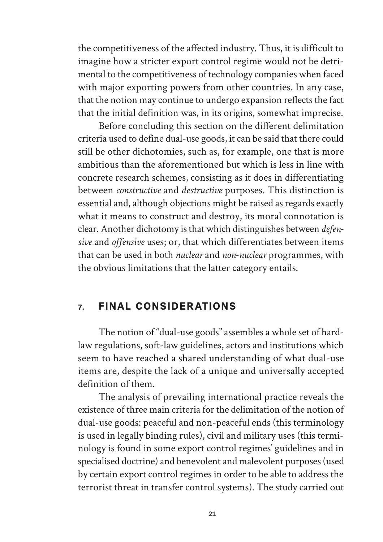the competitiveness of the affected industry. Thus, it is difficult to imagine how a stricter export control regime would not be detrimental to the competitiveness of technology companies when faced with major exporting powers from other countries. In any case, that the notion may continue to undergo expansion reflects the fact that the initial definition was, in its origins, somewhat imprecise.

Before concluding this section on the different delimitation criteria used to define dual-use goods, it can be said that there could still be other dichotomies, such as, for example, one that is more ambitious than the aforementioned but which is less in line with concrete research schemes, consisting as it does in differentiating between *constructive* and *destructive* purposes. This distinction is essential and, although objections might be raised as regards exactly what it means to construct and destroy, its moral connotation is clear. Another dichotomy is that which distinguishes between *defensive* and *offensive* uses; or, that which differentiates between items that can be used in both *nuclear* and *non-nuclear* programmes, with the obvious limitations that the latter category entails.

#### **7. FINAL CONSIDERATIONS**

The notion of "dual-use goods" assembles a whole set of hardlaw regulations, soft-law guidelines, actors and institutions which seem to have reached a shared understanding of what dual-use items are, despite the lack of a unique and universally accepted definition of them.

The analysis of prevailing international practice reveals the existence of three main criteria for the delimitation of the notion of dual-use goods: peaceful and non-peaceful ends (this terminology is used in legally binding rules), civil and military uses (this terminology is found in some export control regimes' guidelines and in specialised doctrine) and benevolent and malevolent purposes (used by certain export control regimes in order to be able to address the terrorist threat in transfer control systems). The study carried out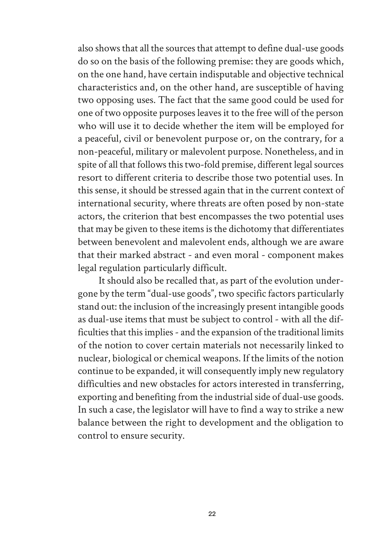also shows that all the sources that attempt to define dual-use goods do so on the basis of the following premise: they are goods which, on the one hand, have certain indisputable and objective technical characteristics and, on the other hand, are susceptible of having two opposing uses. The fact that the same good could be used for one of two opposite purposes leaves it to the free will of the person who will use it to decide whether the item will be employed for a peaceful, civil or benevolent purpose or, on the contrary, for a non-peaceful, military or malevolent purpose. Nonetheless, and in spite of all that follows this two-fold premise, different legal sources resort to different criteria to describe those two potential uses. In this sense, it should be stressed again that in the current context of international security, where threats are often posed by non-state actors, the criterion that best encompasses the two potential uses that may be given to these items is the dichotomy that differentiates between benevolent and malevolent ends, although we are aware that their marked abstract - and even moral - component makes legal regulation particularly difficult.

It should also be recalled that, as part of the evolution undergone by the term "dual-use goods", two specific factors particularly stand out: the inclusion of the increasingly present intangible goods as dual-use items that must be subject to control - with all the difficulties that this implies - and the expansion of the traditional limits of the notion to cover certain materials not necessarily linked to nuclear, biological or chemical weapons. If the limits of the notion continue to be expanded, it will consequently imply new regulatory difficulties and new obstacles for actors interested in transferring, exporting and benefiting from the industrial side of dual-use goods. In such a case, the legislator will have to find a way to strike a new balance between the right to development and the obligation to control to ensure security.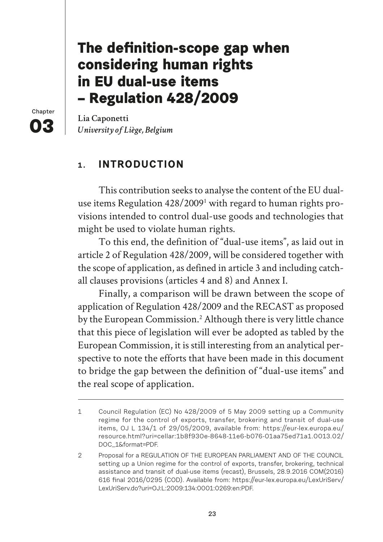# **The definition-scope gap when considering human rights in EU dual-use items – Regulation 428/2009**

**Chapter 03**

**Lia Caponetti**  *University of Liège, Belgium*

# **1. INTRODUCTION**

This contribution seeks to analyse the content of the EU dualuse items Regulation 428/2009<sup>1</sup> with regard to human rights provisions intended to control dual-use goods and technologies that might be used to violate human rights.

To this end, the definition of "dual-use items", as laid out in article 2 of Regulation 428/2009, will be considered together with the scope of application, as defined in article 3 and including catchall clauses provisions (articles 4 and 8) and Annex I.

Finally, a comparison will be drawn between the scope of application of Regulation 428/2009 and the RECAST as proposed by the European Commission.<sup>2</sup> Although there is very little chance that this piece of legislation will ever be adopted as tabled by the European Commission, it is still interesting from an analytical perspective to note the efforts that have been made in this document to bridge the gap between the definition of "dual-use items" and the real scope of application.

<sup>1</sup> Council Regulation (EC) No 428/2009 of 5 May 2009 setting up a Community regime for the control of exports, transfer, brokering and transit of dual-use items, OJ L 134/1 of 29/05/2009, available from: https://eur-lex.europa.eu/ resource.html?uri=cellar:1b8f930e-8648-11e6-b076-01aa75ed71a1.0013.02/ DOC\_1&format=PDF.

<sup>2</sup> Proposal for a REGULATION OF THE EUROPEAN PARLIAMENT AND OF THE COUNCIL setting up a Union regime for the control of exports, transfer, brokering, technical assistance and transit of dual-use items (recast), Brussels, 28.9.2016 COM(2016) 616 final 2016/0295 (COD). Available from: https://eur-lex.europa.eu/LexUriServ/ LexUriServ.do?uri=OJ:L:2009:134:0001:0269:en:PDF.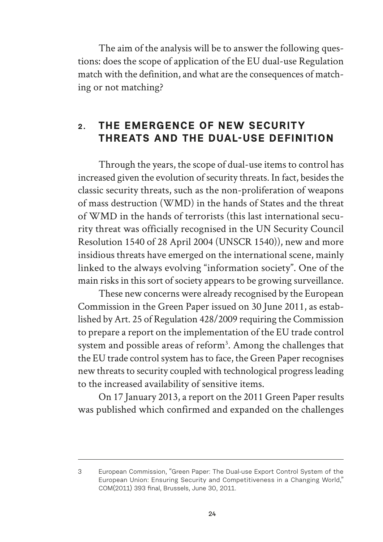The aim of the analysis will be to answer the following questions: does the scope of application of the EU dual-use Regulation match with the definition, and what are the consequences of matching or not matching?

# **2. THE EMERGENCE OF NEW SECURITY THREATS AND THE DUAL-USE DEFINITION**

Through the years, the scope of dual-use items to control has increased given the evolution of security threats. In fact, besides the classic security threats, such as the non-proliferation of weapons of mass destruction (WMD) in the hands of States and the threat of WMD in the hands of terrorists (this last international security threat was officially recognised in the UN Security Council Resolution 1540 of 28 April 2004 (UNSCR 1540)), new and more insidious threats have emerged on the international scene, mainly linked to the always evolving "information society". One of the main risks in this sort of society appears to be growing surveillance.

These new concerns were already recognised by the European Commission in the Green Paper issued on 30 June 2011, as established by Art. 25 of Regulation 428/2009 requiring the Commission to prepare a report on the implementation of the EU trade control system and possible areas of reform<sup>3</sup>. Among the challenges that the EU trade control system has to face, the Green Paper recognises new threats to security coupled with technological progress leading to the increased availability of sensitive items.

On 17 January 2013, a report on the 2011 Green Paper results was published which confirmed and expanded on the challenges

<sup>3</sup> European Commission, "Green Paper: The Dual-use Export Control System of the European Union: Ensuring Security and Competitiveness in a Changing World," COM(2011) 393 final, Brussels, June 30, 2011.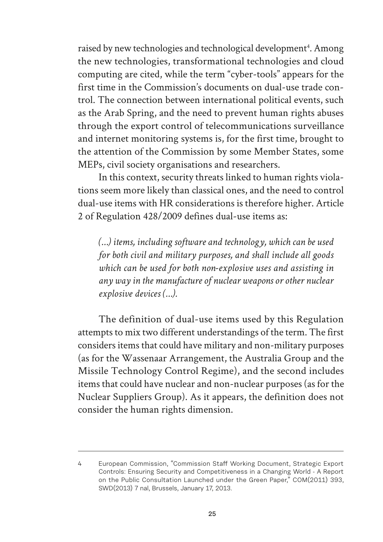raised by new technologies and technological development<sup>4</sup>. Among the new technologies, transformational technologies and cloud computing are cited, while the term "cyber-tools" appears for the first time in the Commission's documents on dual-use trade control. The connection between international political events, such as the Arab Spring, and the need to prevent human rights abuses through the export control of telecommunications surveillance and internet monitoring systems is, for the first time, brought to the attention of the Commission by some Member States, some MEPs, civil society organisations and researchers.

In this context, security threats linked to human rights violations seem more likely than classical ones, and the need to control dual-use items with HR considerations is therefore higher. Article 2 of Regulation 428/2009 defines dual-use items as:

*(…) items, including software and technology, which can be used for both civil and military purposes, and shall include all goods which can be used for both non-explosive uses and assisting in any way in the manufacture of nuclear weapons or other nuclear explosive devices (…).*

The definition of dual-use items used by this Regulation attempts to mix two different understandings of the term. The first considers items that could have military and non-military purposes (as for the Wassenaar Arrangement, the Australia Group and the Missile Technology Control Regime), and the second includes items that could have nuclear and non-nuclear purposes (as for the Nuclear Suppliers Group). As it appears, the definition does not consider the human rights dimension.

<sup>4</sup> European Commission, "Commission Staff Working Document, Strategic Export Controls: Ensuring Security and Competitiveness in a Changing World - A Report on the Public Consultation Launched under the Green Paper," COM(2011) 393, SWD(2013) 7 nal, Brussels, January 17, 2013.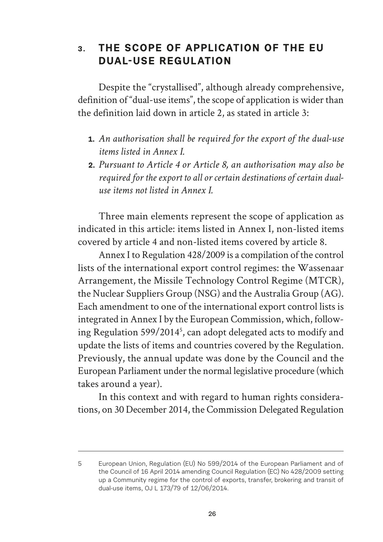# **3. THE SCOPE OF APPLICATION OF THE EU DUAL-USE REGULATION**

Despite the "crystallised", although already comprehensive, definition of "dual-use items", the scope of application is wider than the definition laid down in article 2, as stated in article 3:

- **1.** *An authorisation shall be required for the export of the dual-use items listed in Annex I.*
- **2.** *Pursuant to Article 4 or Article 8, an authorisation may also be required for the export to all or certain destinations of certain dualuse items not listed in Annex I.*

Three main elements represent the scope of application as indicated in this article: items listed in Annex I, non-listed items covered by article 4 and non-listed items covered by article 8.

Annex I to Regulation 428/2009 is a compilation of the control lists of the international export control regimes: the Wassenaar Arrangement, the Missile Technology Control Regime (MTCR), the Nuclear Suppliers Group (NSG) and the Australia Group (AG). Each amendment to one of the international export control lists is integrated in Annex I by the European Commission, which, following Regulation 599/20145 , can adopt delegated acts to modify and update the lists of items and countries covered by the Regulation. Previously, the annual update was done by the Council and the European Parliament under the normal legislative procedure (which takes around a year).

In this context and with regard to human rights considerations, on 30 December 2014, the Commission Delegated Regulation

<sup>5</sup> European Union, Regulation (EU) No 599/2014 of the European Parliament and of the Council of 16 April 2014 amending Council Regulation (EC) No 428/2009 setting up a Community regime for the control of exports, transfer, brokering and transit of dual-use items, OJ L 173/79 of 12/06/2014.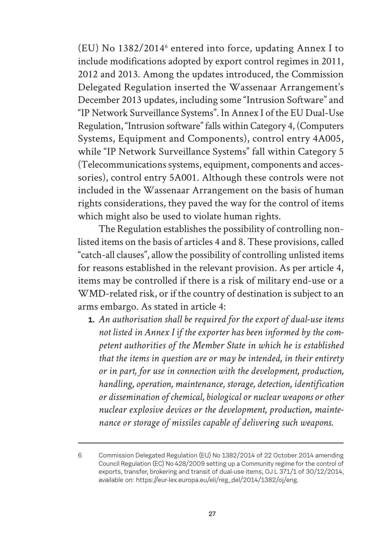(EU) No 1382/2014<sup>6</sup> entered into force, updating Annex I to include modifications adopted by export control regimes in 2011, 2012 and 2013. Among the updates introduced, the Commission Delegated Regulation inserted the Wassenaar Arrangement's December 2013 updates, including some "Intrusion Software" and "IP Network Surveillance Systems". In Annex I of the EU Dual-Use Regulation, "Intrusion software" falls within Category 4, (Computers Systems, Equipment and Components), control entry 4A005, while "IP Network Surveillance Systems" fall within Category 5 (Telecommunications systems, equipment, components and accessories), control entry 5A001. Although these controls were not included in the Wassenaar Arrangement on the basis of human rights considerations, they paved the way for the control of items which might also be used to violate human rights.

The Regulation establishes the possibility of controlling nonlisted items on the basis of articles 4 and 8. These provisions, called "catch-all clauses", allow the possibility of controlling unlisted items for reasons established in the relevant provision. As per article 4, items may be controlled if there is a risk of military end-use or a WMD-related risk, or if the country of destination is subject to an arms embargo. As stated in article 4:

**1.** *An authorisation shall be required for the export of dual-use items not listed in Annex I if the exporter has been informed by the competent authorities of the Member State in which he is established that the items in question are or may be intended, in their entirety or in part, for use in connection with the development, production, handling, operation, maintenance, storage, detection, identification or dissemination of chemical, biological or nuclear weapons or other nuclear explosive devices or the development, production, maintenance or storage of missiles capable of delivering such weapons.*

<sup>6</sup> Commission Delegated Regulation (EU) No 1382/2014 of 22 October 2014 amending Council Regulation (EC) No 428/2009 setting up a Community regime for the control of exports, transfer, brokering and transit of dual-use items, OJ L 371/1 of 30/12/2014, available on: https://eur-lex.europa.eu/eli/reg\_del/2014/1382/oj/eng.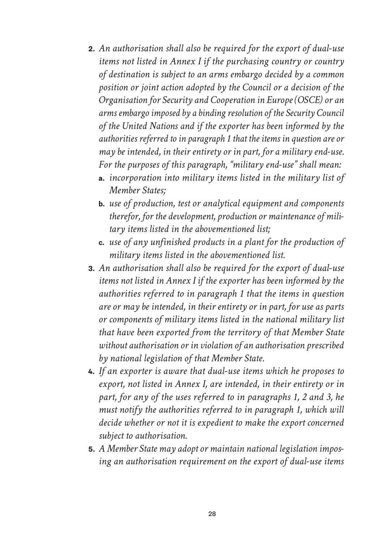- **2.** *An authorisation shall also be required for the export of dual-use items not listed in Annex I if the purchasing country or country of destination is subject to an arms embargo decided by a common position or joint action adopted by the Council or a decision of the Organisation for Security and Cooperation in Europe (OSCE) or an arms embargo imposed by a binding resolution of the Security Council of the United Nations and if the exporter has been informed by the authorities referred to in paragraph 1 that the items in question are or may be intended, in their entirety or in part, for a military end-use. For the purposes of this paragraph, "military end-use" shall mean:*
	- **a.** *incorporation into military items listed in the military list of Member States;*
	- **b.** *use of production, test or analytical equipment and components therefor, for the development, production or maintenance of military items listed in the abovementioned list;*
	- **c.** *use of any unfinished products in a plant for the production of military items listed in the abovementioned list.*
- **3.** *An authorisation shall also be required for the export of dual-use items not listed in Annex I if the exporter has been informed by the authorities referred to in paragraph 1 that the items in question are or may be intended, in their entirety or in part, for use as parts or components of military items listed in the national military list that have been exported from the territory of that Member State without authorisation or in violation of an authorisation prescribed by national legislation of that Member State.*
- **4.** *If an exporter is aware that dual-use items which he proposes to export, not listed in Annex I, are intended, in their entirety or in part, for any of the uses referred to in paragraphs 1, 2 and 3, he must notify the authorities referred to in paragraph 1, which will decide whether or not it is expedient to make the export concerned subject to authorisation.*
- **5.** *A Member State may adopt or maintain national legislation imposing an authorisation requirement on the export of dual-use items*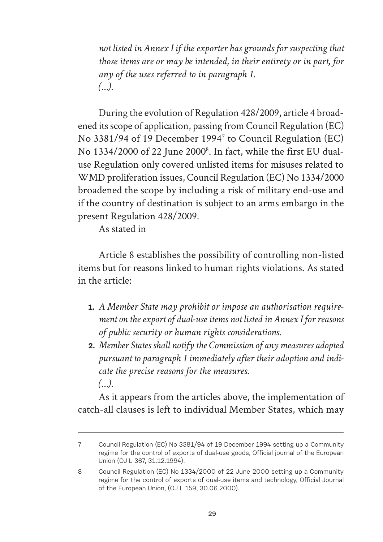*not listed in Annex I if the exporter has grounds for suspecting that those items are or may be intended, in their entirety or in part, for any of the uses referred to in paragraph 1. (…).*

During the evolution of Regulation 428/2009, article 4 broadened its scope of application, passing from Council Regulation (EC) No 3381/94 of 19 December 19947 to Council Regulation (EC) No 1334/2000 of 22 June 2000<sup>8</sup>. In fact, while the first EU dualuse Regulation only covered unlisted items for misuses related to WMD proliferation issues, Council Regulation (EC) No 1334/2000 broadened the scope by including a risk of military end-use and if the country of destination is subject to an arms embargo in the present Regulation 428/2009.

As stated in

Article 8 establishes the possibility of controlling non-listed items but for reasons linked to human rights violations. As stated in the article:

- **1.** *A Member State may prohibit or impose an authorisation requirement on the export of dual-use items not listed in Annex I for reasons of public security or human rights considerations.*
- **2.** *Member States shall notify the Commission of any measures adopted pursuant to paragraph 1 immediately after their adoption and indicate the precise reasons for the measures. (…).*

As it appears from the articles above, the implementation of catch-all clauses is left to individual Member States, which may

<sup>7</sup> Council Regulation (EC) No 3381/94 of 19 December 1994 setting up a Community regime for the control of exports of dual-use goods, Official journal of the European Union (OJ L 367, 31.12.1994).

<sup>8</sup> Council Regulation (EC) No 1334/2000 of 22 June 2000 setting up a Community regime for the control of exports of dual-use items and technology, Official Journal of the European Union, (OJ L 159, 30.06.2000).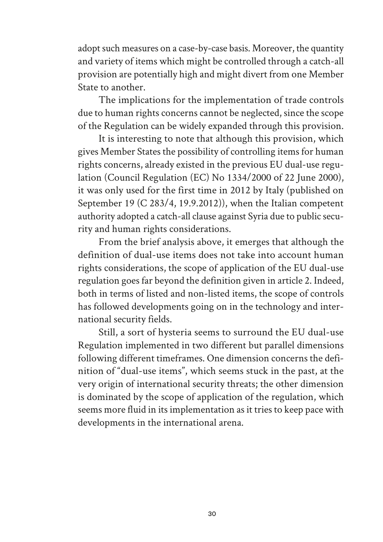adopt such measures on a case-by-case basis. Moreover, the quantity and variety of items which might be controlled through a catch-all provision are potentially high and might divert from one Member State to another.

The implications for the implementation of trade controls due to human rights concerns cannot be neglected, since the scope of the Regulation can be widely expanded through this provision.

It is interesting to note that although this provision, which gives Member States the possibility of controlling items for human rights concerns, already existed in the previous EU dual-use regulation (Council Regulation (EC) No 1334/2000 of 22 June 2000), it was only used for the first time in 2012 by Italy (published on September 19 (C 283/4, 19.9.2012)), when the Italian competent authority adopted a catch-all clause against Syria due to public security and human rights considerations.

From the brief analysis above, it emerges that although the definition of dual-use items does not take into account human rights considerations, the scope of application of the EU dual-use regulation goes far beyond the definition given in article 2. Indeed, both in terms of listed and non-listed items, the scope of controls has followed developments going on in the technology and international security fields.

Still, a sort of hysteria seems to surround the EU dual-use Regulation implemented in two different but parallel dimensions following different timeframes. One dimension concerns the definition of "dual-use items", which seems stuck in the past, at the very origin of international security threats; the other dimension is dominated by the scope of application of the regulation, which seems more fluid in its implementation as it tries to keep pace with developments in the international arena.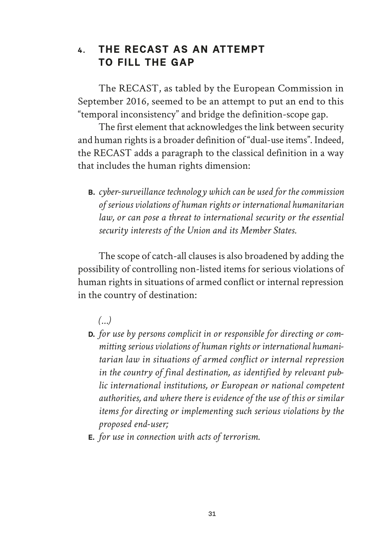### **4. THE RECAST AS AN ATTEMPT TO FILL THE GAP**

The RECAST, as tabled by the European Commission in September 2016, seemed to be an attempt to put an end to this "temporal inconsistency" and bridge the definition-scope gap.

The first element that acknowledges the link between security and human rights is a broader definition of "dual-use items". Indeed, the RECAST adds a paragraph to the classical definition in a way that includes the human rights dimension:

**B.** *cyber-surveillance technology which can be used for the commission of serious violations of human rights or international humanitarian law, or can pose a threat to international security or the essential security interests of the Union and its Member States.*

The scope of catch-all clauses is also broadened by adding the possibility of controlling non-listed items for serious violations of human rights in situations of armed conflict or internal repression in the country of destination:

*(…)*

- **D.** *for use by persons complicit in or responsible for directing or committing serious violations of human rights or international humanitarian law in situations of armed conflict or internal repression in the country of final destination, as identified by relevant public international institutions, or European or national competent authorities, and where there is evidence of the use of this or similar items for directing or implementing such serious violations by the proposed end-user;*
- **E.** *for use in connection with acts of terrorism.*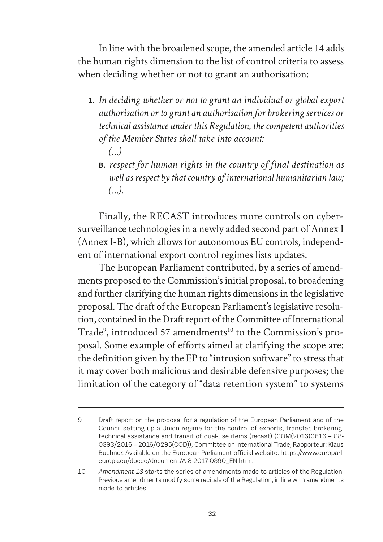In line with the broadened scope, the amended article 14 adds the human rights dimension to the list of control criteria to assess when deciding whether or not to grant an authorisation:

- **1.** *In deciding whether or not to grant an individual or global export authorisation or to grant an authorisation for brokering services or technical assistance under this Regulation, the competent authorities of the Member States shall take into account: (…)*
	- **B.** *respect for human rights in the country of final destination as well as respect by that country of international humanitarian law; (…).*

Finally, the RECAST introduces more controls on cybersurveillance technologies in a newly added second part of Annex I (Annex I-B), which allows for autonomous EU controls, independent of international export control regimes lists updates.

The European Parliament contributed, by a series of amendments proposed to the Commission's initial proposal, to broadening and further clarifying the human rights dimensions in the legislative proposal. The draft of the European Parliament's legislative resolution, contained in the Draft report of the Committee of International Trade<sup>9</sup>, introduced 57 amendments<sup>10</sup> to the Commission's proposal. Some example of efforts aimed at clarifying the scope are: the definition given by the EP to "intrusion software" to stress that it may cover both malicious and desirable defensive purposes; the limitation of the category of "data retention system" to systems

<sup>9</sup> Draft report on the proposal for a regulation of the European Parliament and of the Council setting up a Union regime for the control of exports, transfer, brokering, technical assistance and transit of dual-use items (recast) (COM(2016)0616 – C8- 0393/2016 – 2016/0295(COD)), Committee on International Trade, Rapporteur: Klaus Buchner. Available on the European Parliament official website: https://www.europarl. europa.eu/doceo/document/A-8-2017-0390\_EN.html.

<sup>10</sup> *Amendment 13* starts the series of amendments made to articles of the Regulation. Previous amendments modify some recitals of the Regulation, in line with amendments made to articles.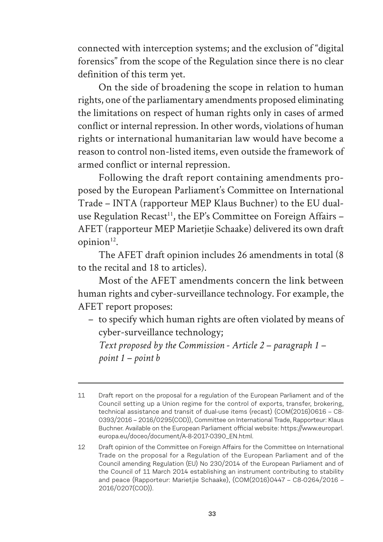connected with interception systems; and the exclusion of "digital forensics" from the scope of the Regulation since there is no clear definition of this term yet.

On the side of broadening the scope in relation to human rights, one of the parliamentary amendments proposed eliminating the limitations on respect of human rights only in cases of armed conflict or internal repression. In other words, violations of human rights or international humanitarian law would have become a reason to control non-listed items, even outside the framework of armed conflict or internal repression.

Following the draft report containing amendments proposed by the European Parliament's Committee on International Trade – INTA (rapporteur MEP Klaus Buchner) to the EU dualuse Regulation Recast<sup>11</sup>, the EP's Committee on Foreign Affairs  $-$ AFET (rapporteur MEP Marietjie Schaake) delivered its own draft opinion $12$ .

The AFET draft opinion includes 26 amendments in total (8 to the recital and 18 to articles).

Most of the AFET amendments concern the link between human rights and cyber-surveillance technology. For example, the AFET report proposes:

– to specify which human rights are often violated by means of cyber-surveillance technology;

*Text proposed by the Commission - Article 2 – paragraph 1 – point 1 – point b*

<sup>11</sup> Draft report on the proposal for a regulation of the European Parliament and of the Council setting up a Union regime for the control of exports, transfer, brokering, technical assistance and transit of dual-use items (recast) (COM(2016)0616 – C8- 0393/2016 – 2016/0295(COD)), Committee on International Trade, Rapporteur: Klaus Buchner. Available on the European Parliament official website: https://www.europarl. europa.eu/doceo/document/A-8-2017-0390\_EN.html.

<sup>12</sup> Draft opinion of the Committee on Foreign Affairs for the Committee on International Trade on the proposal for a Regulation of the European Parliament and of the Council amending Regulation (EU) No 230/2014 of the European Parliament and of the Council of 11 March 2014 establishing an instrument contributing to stability and peace (Rapporteur: Marietjie Schaake), (COM(2016)0447 – C8-0264/2016 – 2016/0207(COD)).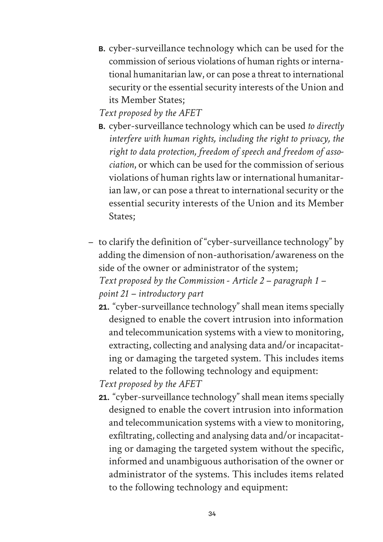**B.** cyber-surveillance technology which can be used for the commission of serious violations of human rights or international humanitarian law, or can pose a threat to international security or the essential security interests of the Union and its Member States;

*Text proposed by the AFET*

- **B.** cyber-surveillance technology which can be used *to directly interfere with human rights, including the right to privacy, the right to data protection, freedom of speech and freedom of association*, or which can be used for the commission of serious violations of human rights law or international humanitarian law, or can pose a threat to international security or the essential security interests of the Union and its Member States;
- to clarify the definition of "cyber-surveillance technology" by adding the dimension of non-authorisation/awareness on the side of the owner or administrator of the system; *Text proposed by the Commission - Article 2 – paragraph 1 – point 21 – introductory part*
	- **21.** "cyber-surveillance technology" shall mean items specially designed to enable the covert intrusion into information and telecommunication systems with a view to monitoring, extracting, collecting and analysing data and/or incapacitating or damaging the targeted system. This includes items related to the following technology and equipment:

*Text proposed by the AFET*

**21.** "cyber-surveillance technology" shall mean items specially designed to enable the covert intrusion into information and telecommunication systems with a view to monitoring, exfiltrating, collecting and analysing data and/or incapacitating or damaging the targeted system without the specific, informed and unambiguous authorisation of the owner or administrator of the systems. This includes items related to the following technology and equipment: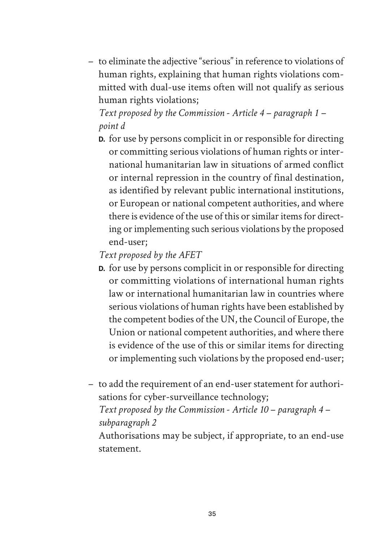– to eliminate the adjective "serious" in reference to violations of human rights, explaining that human rights violations committed with dual-use items often will not qualify as serious human rights violations;

*Text proposed by the Commission - Article 4 – paragraph 1 – point d*

**D.** for use by persons complicit in or responsible for directing or committing serious violations of human rights or international humanitarian law in situations of armed conflict or internal repression in the country of final destination, as identified by relevant public international institutions, or European or national competent authorities, and where there is evidence of the use of this or similar items for directing or implementing such serious violations by the proposed end-user;

*Text proposed by the AFET*

- **D.** for use by persons complicit in or responsible for directing or committing violations of international human rights law or international humanitarian law in countries where serious violations of human rights have been established by the competent bodies of the UN, the Council of Europe, the Union or national competent authorities, and where there is evidence of the use of this or similar items for directing or implementing such violations by the proposed end-user;
- to add the requirement of an end-user statement for authorisations for cyber-surveillance technology;

*Text proposed by the Commission - Article 10 – paragraph 4 – subparagraph 2*

Authorisations may be subject, if appropriate, to an end-use statement.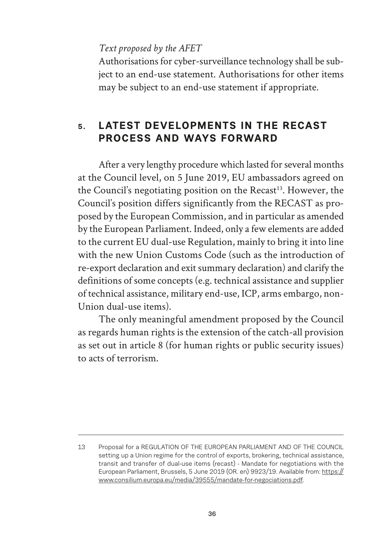*Text proposed by the AFET*

Authorisations for cyber-surveillance technology shall be subject to an end-use statement. Authorisations for other items may be subject to an end-use statement if appropriate.

# **5. LATEST DEVELOPMENTS IN THE RECAST PROCESS AND WAYS FORWARD**

After a very lengthy procedure which lasted for several months at the Council level, on 5 June 2019, EU ambassadors agreed on the Council's negotiating position on the  $Recast<sup>13</sup>$ . However, the Council's position differs significantly from the RECAST as proposed by the European Commission, and in particular as amended by the European Parliament. Indeed, only a few elements are added to the current EU dual-use Regulation, mainly to bring it into line with the new Union Customs Code (such as the introduction of re-export declaration and exit summary declaration) and clarify the definitions of some concepts (e.g. technical assistance and supplier of technical assistance, military end-use, ICP, arms embargo, non-Union dual-use items).

The only meaningful amendment proposed by the Council as regards human rights is the extension of the catch-all provision as set out in article 8 (for human rights or public security issues) to acts of terrorism.

<sup>13</sup> Proposal for a REGULATION OF THE EUROPEAN PARLIAMENT AND OF THE COUNCIL setting up a Union regime for the control of exports, brokering, technical assistance, transit and transfer of dual-use items (recast) - Mandate for negotiations with the European Parliament, Brussels, 5 June 2019 (OR. en) 9923/19. Available from: https:// www.consilium.europa.eu/media/39555/mandate-for-negociations.pdf.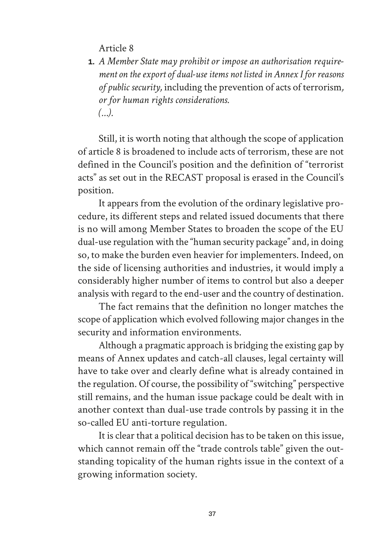Article 8

**1.** *A Member State may prohibit or impose an authorisation requirement on the export of dual-use items not listed in Annex I for reasons of public security,* including the prevention of acts of terrorism*, or for human rights considerations. (…).*

Still, it is worth noting that although the scope of application of article 8 is broadened to include acts of terrorism, these are not defined in the Council's position and the definition of "terrorist acts" as set out in the RECAST proposal is erased in the Council's position.

It appears from the evolution of the ordinary legislative procedure, its different steps and related issued documents that there is no will among Member States to broaden the scope of the EU dual-use regulation with the "human security package" and, in doing so, to make the burden even heavier for implementers. Indeed, on the side of licensing authorities and industries, it would imply a considerably higher number of items to control but also a deeper analysis with regard to the end-user and the country of destination.

The fact remains that the definition no longer matches the scope of application which evolved following major changes in the security and information environments.

Although a pragmatic approach is bridging the existing gap by means of Annex updates and catch-all clauses, legal certainty will have to take over and clearly define what is already contained in the regulation. Of course, the possibility of "switching" perspective still remains, and the human issue package could be dealt with in another context than dual-use trade controls by passing it in the so-called EU anti-torture regulation.

It is clear that a political decision has to be taken on this issue, which cannot remain off the "trade controls table" given the outstanding topicality of the human rights issue in the context of a growing information society.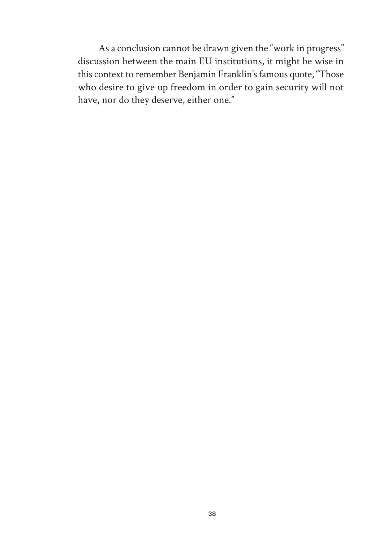As a conclusion cannot be drawn given the "work in progress" discussion between the main EU institutions, it might be wise in this context to remember Benjamin Franklin's famous quote, "Those who desire to give up freedom in order to gain security will not have, nor do they deserve, either one."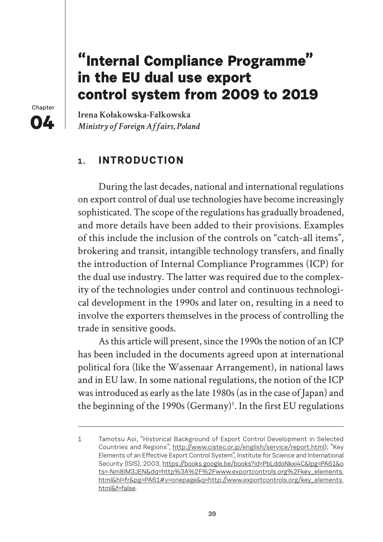# **"Internal Compliance Programme" in the EU dual use export control system from 2009 to 2019**

**Chapter 04**

Irena Kołakowska-Fałkowska *Ministry of Foreign Affairs, Poland*

### **1. INTRODUCTION**

During the last decades, national and international regulations on export control of dual use technologies have become increasingly sophisticated. The scope of the regulations has gradually broadened, and more details have been added to their provisions. Examples of this include the inclusion of the controls on "catch-all items", brokering and transit, intangible technology transfers, and finally the introduction of Internal Compliance Programmes (ICP) for the dual use industry. The latter was required due to the complexity of the technologies under control and continuous technological development in the 1990s and later on, resulting in a need to involve the exporters themselves in the process of controlling the trade in sensitive goods.

As this article will present, since the 1990s the notion of an ICP has been included in the documents agreed upon at international political fora (like the Wassenaar Arrangement), in national laws and in EU law. In some national regulations, the notion of the ICP was introduced as early as the late 1980s (as in the case of Japan) and the beginning of the 1990s (Germany)<sup>1</sup>. In the first EU regulations

<sup>1</sup> Tamotsu Aoi, "Historical Background of Export Control Development in Selected Countries and Regions", http://www.cistec.or.jp/english/service/report.html); "Key Elements of an Effective Export Control System", Institute for Science and International Security (ISIS), 2003, https://books.google.be/books?id=PbLddoNkxi4C&lpg=PA61&o ts=-Nm8IM3JEN&dq=http%3A%2F%2Fwww.exportcontrols.org%2Fkey\_elements. html&hl=fr&pg=PA61#v=onepage&q=http://www.exportcontrols.org/key\_elements. html&f=false.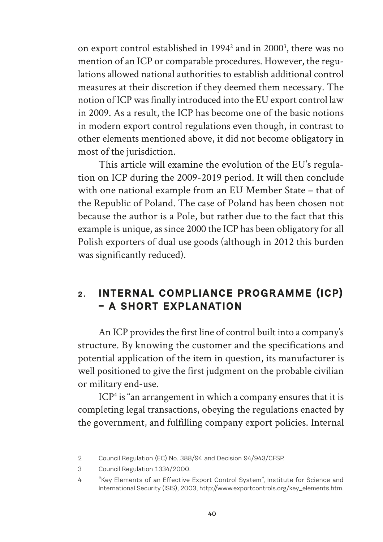on export control established in 1994<sup>2</sup> and in 2000<sup>3</sup>, there was no mention of an ICP or comparable procedures. However, the regulations allowed national authorities to establish additional control measures at their discretion if they deemed them necessary. The notion of ICP was finally introduced into the EU export control law in 2009. As a result, the ICP has become one of the basic notions in modern export control regulations even though, in contrast to other elements mentioned above, it did not become obligatory in most of the jurisdiction.

This article will examine the evolution of the EU's regulation on ICP during the 2009-2019 period. It will then conclude with one national example from an EU Member State – that of the Republic of Poland. The case of Poland has been chosen not because the author is a Pole, but rather due to the fact that this example is unique, as since 2000 the ICP has been obligatory for all Polish exporters of dual use goods (although in 2012 this burden was significantly reduced).

## **2. INTERNAL COMPLIANCE PROGRAMME (ICP) – A SHORT EXPLANATION**

An ICP provides the first line of control built into a company's structure. By knowing the customer and the specifications and potential application of the item in question, its manufacturer is well positioned to give the first judgment on the probable civilian or military end-use.

ICP4 is "an arrangement in which a company ensures that it is completing legal transactions, obeying the regulations enacted by the government, and fulfilling company export policies. Internal

<sup>2</sup> Council Regulation (EC) No. 388/94 and Decision 94/943/CFSP.

<sup>3</sup> Council Regulation 1334/2000.

<sup>4 &</sup>quot;Key Elements of an Effective Export Control System", Institute for Science and International Security (ISIS), 2003, http://www.exportcontrols.org/key\_elements.htm.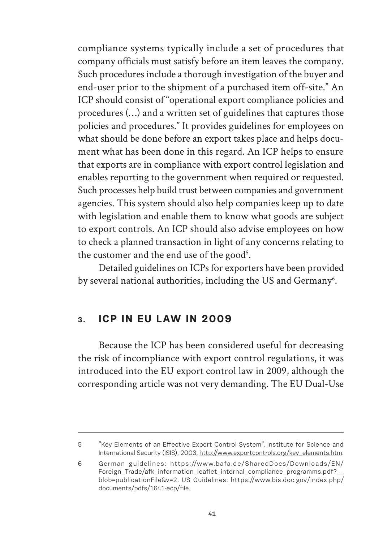compliance systems typically include a set of procedures that company officials must satisfy before an item leaves the company. Such procedures include a thorough investigation of the buyer and end-user prior to the shipment of a purchased item off-site." An ICP should consist of "operational export compliance policies and procedures (…) and a written set of guidelines that captures those policies and procedures." It provides guidelines for employees on what should be done before an export takes place and helps document what has been done in this regard. An ICP helps to ensure that exports are in compliance with export control legislation and enables reporting to the government when required or requested. Such processes help build trust between companies and government agencies. This system should also help companies keep up to date with legislation and enable them to know what goods are subject to export controls. An ICP should also advise employees on how to check a planned transaction in light of any concerns relating to the customer and the end use of the good<sup>5</sup>.

Detailed guidelines on ICPs for exporters have been provided by several national authorities, including the US and Germany<sup>6</sup>.

#### **3. ICP IN EU LAW IN 2009**

Because the ICP has been considered useful for decreasing the risk of incompliance with export control regulations, it was introduced into the EU export control law in 2009, although the corresponding article was not very demanding. The EU Dual-Use

<sup>5 &</sup>quot;Key Elements of an Effective Export Control System", Institute for Science and International Security (ISIS), 2003, http://www.exportcontrols.org/key\_elements.htm.

<sup>6</sup> German guidelines: https://www.bafa.de/SharedDocs/Downloads/EN/ Foreign\_Trade/afk\_information\_leaflet\_internal\_compliance\_programms.pdf?\_\_ blob=publicationFile&v=2. US Guidelines: https://www.bis.doc.gov/index.php/ documents/pdfs/1641-ecp/file.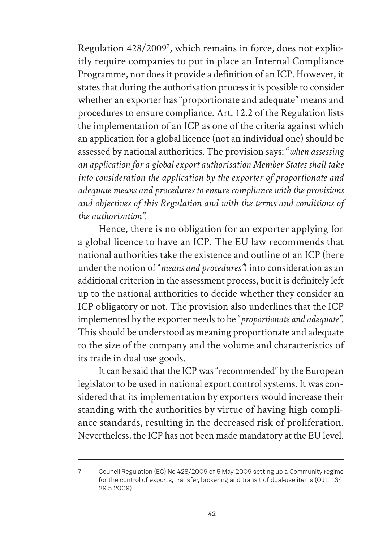Regulation 428/20097 , which remains in force, does not explicitly require companies to put in place an Internal Compliance Programme, nor does it provide a definition of an ICP. However, it states that during the authorisation process it is possible to consider whether an exporter has "proportionate and adequate" means and procedures to ensure compliance. Art. 12.2 of the Regulation lists the implementation of an ICP as one of the criteria against which an application for a global licence (not an individual one) should be assessed by national authorities. The provision says: "*when assessing an application for a global export authorisation Member States shall take into consideration the application by the exporter of proportionate and adequate means and procedures to ensure compliance with the provisions and objectives of this Regulation and with the terms and conditions of the authorisation"*.

Hence, there is no obligation for an exporter applying for a global licence to have an ICP. The EU law recommends that national authorities take the existence and outline of an ICP (here under the notion of "*means and procedures"*) into consideration as an additional criterion in the assessment process, but it is definitely left up to the national authorities to decide whether they consider an ICP obligatory or not. The provision also underlines that the ICP implemented by the exporter needs to be "*proportionate and adequate"*. This should be understood as meaning proportionate and adequate to the size of the company and the volume and characteristics of its trade in dual use goods.

It can be said that the ICP was "recommended" by the European legislator to be used in national export control systems. It was considered that its implementation by exporters would increase their standing with the authorities by virtue of having high compliance standards, resulting in the decreased risk of proliferation. Nevertheless, the ICP has not been made mandatory at the EU level.

<sup>7</sup> Council Regulation (EC) No 428/2009 of 5 May 2009 setting up a Community regime for the control of exports, transfer, brokering and transit of dual-use items (OJ L 134, 29.5.2009).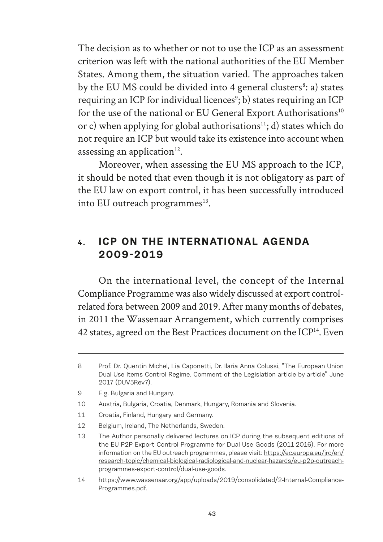The decision as to whether or not to use the ICP as an assessment criterion was left with the national authorities of the EU Member States. Among them, the situation varied. The approaches taken by the EU MS could be divided into 4 general clusters<sup>8</sup>: a) states requiring an ICP for individual licences<sup>9</sup>; b) states requiring an ICP for the use of the national or EU General Export Authorisations<sup>10</sup> or c) when applying for global authorisations<sup>11</sup>; d) states which do not require an ICP but would take its existence into account when assessing an application $12$ .

Moreover, when assessing the EU MS approach to the ICP, it should be noted that even though it is not obligatory as part of the EU law on export control, it has been successfully introduced into EU outreach programmes $^{13}$ .

### **4. ICP ON THE INTERNATIONAL AGENDA 2009-2019**

On the international level, the concept of the Internal Compliance Programme was also widely discussed at export controlrelated fora between 2009 and 2019. After many months of debates, in 2011 the Wassenaar Arrangement, which currently comprises 42 states, agreed on the Best Practices document on the ICP<sup>14</sup>. Even

- 10 Austria, Bulgaria, Croatia, Denmark, Hungary, Romania and Slovenia.
- 11 Croatia, Finland, Hungary and Germany.
- 12 Belgium, Ireland, The Netherlands, Sweden.

<sup>8</sup> Prof. Dr. Quentin Michel, Lia Caponetti, Dr. Ilaria Anna Colussi, "The European Union Dual-Use Items Control Regime. Comment of the Legislation article-by-article" June 2017 (DUV5Rev7).

<sup>9</sup> E.g. Bulgaria and Hungary.

<sup>13</sup> The Author personally delivered lectures on ICP during the subsequent editions of the EU P2P Export Control Programme for Dual Use Goods (2011-2016). For more information on the EU outreach programmes, please visit: https://ec.europa.eu/jrc/en/ research-topic/chemical-biological-radiological-and-nuclear-hazards/eu-p2p-outreachprogrammes-export-control/dual-use-goods.

<sup>14</sup> https://www.wassenaar.org/app/uploads/2019/consolidated/2-Internal-Compliance-Programmes.pdf.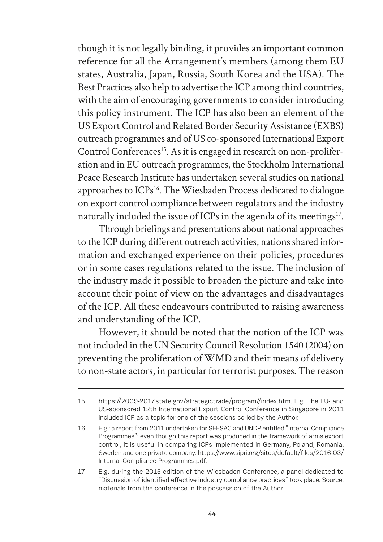though it is not legally binding, it provides an important common reference for all the Arrangement's members (among them EU states, Australia, Japan, Russia, South Korea and the USA). The Best Practices also help to advertise the ICP among third countries, with the aim of encouraging governments to consider introducing this policy instrument. The ICP has also been an element of the US Export Control and Related Border Security Assistance (EXBS) outreach programmes and of US co-sponsored International Export Control Conferences<sup>15</sup>. As it is engaged in research on non-proliferation and in EU outreach programmes, the Stockholm International Peace Research Institute has undertaken several studies on national approaches to ICPs<sup>16</sup>. The Wiesbaden Process dedicated to dialogue on export control compliance between regulators and the industry naturally included the issue of ICPs in the agenda of its meetings<sup>17</sup>.

Through briefings and presentations about national approaches to the ICP during different outreach activities, nations shared information and exchanged experience on their policies, procedures or in some cases regulations related to the issue. The inclusion of the industry made it possible to broaden the picture and take into account their point of view on the advantages and disadvantages of the ICP. All these endeavours contributed to raising awareness and understanding of the ICP.

However, it should be noted that the notion of the ICP was not included in the UN Security Council Resolution 1540 (2004) on preventing the proliferation of WMD and their means of delivery to non-state actors, in particular for terrorist purposes. The reason

<sup>15</sup> https://2009-2017.state.gov/strategictrade/program//index.htm. E.g. The EU- and US-sponsored 12th International Export Control Conference in Singapore in 2011 included ICP as a topic for one of the sessions co-led by the Author.

<sup>16</sup> E.g.: a report from 2011 undertaken for SEESAC and UNDP entitled "Internal Compliance Programmes"; even though this report was produced in the framework of arms export control, it is useful in comparing ICPs implemented in Germany, Poland, Romania, Sweden and one private company. https://www.sipri.org/sites/default/files/2016-03/ Internal-Compliance-Programmes.pdf.

<sup>17</sup> E.g. during the 2015 edition of the Wiesbaden Conference, a panel dedicated to "Discussion of identified effective industry compliance practices" took place. Source: materials from the conference in the possession of the Author.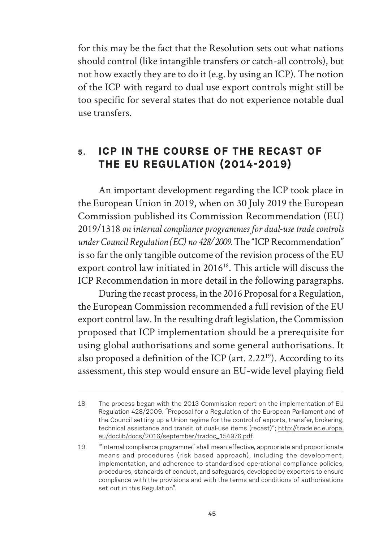for this may be the fact that the Resolution sets out what nations should control (like intangible transfers or catch-all controls), but not how exactly they are to do it (e.g. by using an ICP). The notion of the ICP with regard to dual use export controls might still be too specific for several states that do not experience notable dual use transfers.

## **5. ICP IN THE COURSE OF THE RECAST OF THE EU REGULATION (2014-2019)**

An important development regarding the ICP took place in the European Union in 2019, when on 30 July 2019 the European Commission published its Commission Recommendation (EU) 2019/1318 *on internal compliance programmes for dual-use trade controls under Council Regulation (EC) no 428/2009.* The "ICP Recommendation" is so far the only tangible outcome of the revision process of the EU export control law initiated in 2016<sup>18</sup>. This article will discuss the ICP Recommendation in more detail in the following paragraphs.

During the recast process, in the 2016 Proposal for a Regulation, the European Commission recommended a full revision of the EU export control law. In the resulting draft legislation, the Commission proposed that ICP implementation should be a prerequisite for using global authorisations and some general authorisations. It also proposed a definition of the ICP (art.  $2.22^{19}$ ). According to its assessment, this step would ensure an EU-wide level playing field

<sup>18</sup> The process began with the 2013 Commission report on the implementation of EU Regulation 428/2009. "Proposal for a Regulation of the European Parliament and of the Council setting up a Union regime for the control of exports, transfer, brokering, technical assistance and transit of dual-use items (recast)"; http://trade.ec.europa. eu/doclib/docs/2016/september/tradoc\_154976.pdf.

<sup>19 &</sup>quot;internal compliance programme" shall mean effective, appropriate and proportionate means and procedures (risk based approach), including the development, implementation, and adherence to standardised operational compliance policies, procedures, standards of conduct, and safeguards, developed by exporters to ensure compliance with the provisions and with the terms and conditions of authorisations set out in this Regulation".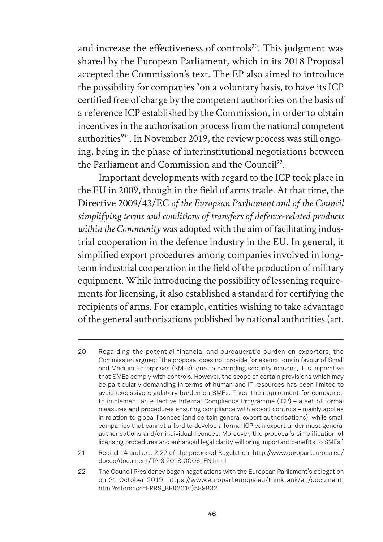and increase the effectiveness of controls<sup>20</sup>. This judgment was shared by the European Parliament, which in its 2018 Proposal accepted the Commission's text. The EP also aimed to introduce the possibility for companies "on a voluntary basis, to have its ICP certified free of charge by the competent authorities on the basis of a reference ICP established by the Commission, in order to obtain incentives in the authorisation process from the national competent authorities"21. In November 2019, the review process was still ongoing, being in the phase of interinstitutional negotiations between the Parliament and Commission and the Council<sup>22</sup>.

Important developments with regard to the ICP took place in the EU in 2009, though in the field of arms trade. At that time, the Directive 2009/43/EC *of the European Parliament and of the Council simplifying terms and conditions of transfers of defence-related products within the Community* was adopted with the aim of facilitating industrial cooperation in the defence industry in the EU. In general, it simplified export procedures among companies involved in longterm industrial cooperation in the field of the production of military equipment. While introducing the possibility of lessening requirements for licensing, it also established a standard for certifying the recipients of arms. For example, entities wishing to take advantage of the general authorisations published by national authorities (art.

<sup>20</sup> Regarding the potential financial and bureaucratic burden on exporters, the Commission argued: "the proposal does not provide for exemptions in favour of Small and Medium Enterprises (SMEs): due to overriding security reasons, it is imperative that SMEs comply with controls. However, the scope of certain provisions which may be particularly demanding in terms of human and IT resources has been limited to avoid excessive regulatory burden on SMEs. Thus, the requirement for companies to implement an effective Internal Compliance Programme (ICP) – a set of formal measures and procedures ensuring compliance with export controls – mainly applies in relation to global licences (and certain general export authorisations), while small companies that cannot afford to develop a formal ICP can export under most general authorisations and/or individual licences. Moreover, the proposal's simplification of licensing procedures and enhanced legal clarity will bring important benefits to SMEs".

<sup>21</sup> Recital 14 and art. 2.22 of the proposed Regulation. http://www.europarl.europa.eu/ doceo/document/TA-8-2018-0006\_EN.html

<sup>22</sup> The Council Presidency began negotiations with the European Parliament's delegation on 21 October 2019. https://www.europarl.europa.eu/thinktank/en/document. html?reference=EPRS\_BRI(2016)589832.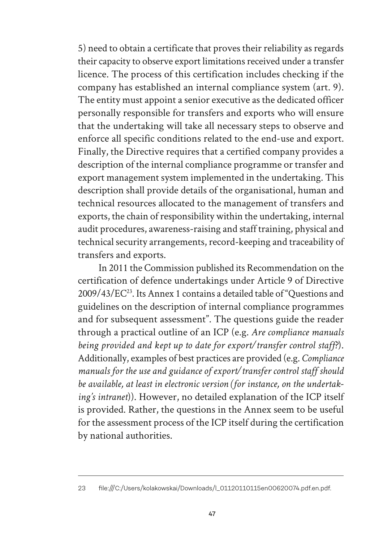5) need to obtain a certificate that proves their reliability as regards their capacity to observe export limitations received under a transfer licence. The process of this certification includes checking if the company has established an internal compliance system (art. 9). The entity must appoint a senior executive as the dedicated officer personally responsible for transfers and exports who will ensure that the undertaking will take all necessary steps to observe and enforce all specific conditions related to the end-use and export. Finally, the Directive requires that a certified company provides a description of the internal compliance programme or transfer and export management system implemented in the undertaking. This description shall provide details of the organisational, human and technical resources allocated to the management of transfers and exports, the chain of responsibility within the undertaking, internal audit procedures, awareness-raising and staff training, physical and technical security arrangements, record-keeping and traceability of transfers and exports.

In 2011 the Commission published its Recommendation on the certification of defence undertakings under Article 9 of Directive 2009/43/EC23. Its Annex 1 contains a detailed table of "Questions and guidelines on the description of internal compliance programmes and for subsequent assessment". The questions guide the reader through a practical outline of an ICP (e.g. *Are compliance manuals being provided and kept up to date for export/transfer control staff?*). Additionally, examples of best practices are provided (e.g. *Compliance manuals for the use and guidance of export/transfer control staff should be available, at least in electronic version (for instance, on the undertaking's intranet*)). However, no detailed explanation of the ICP itself is provided. Rather, the questions in the Annex seem to be useful for the assessment process of the ICP itself during the certification by national authorities.

<sup>23</sup> file:///C:/Users/kolakowskai/Downloads/l\_01120110115en00620074.pdf.en.pdf.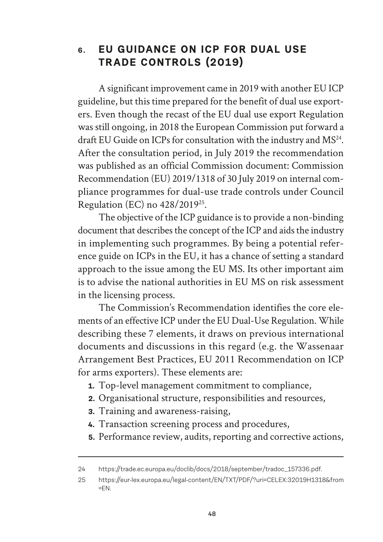#### **6. EU GUIDANCE ON ICP FOR DUAL USE TRADE CONTROLS (2019)**

A significant improvement came in 2019 with another EU ICP guideline, but this time prepared for the benefit of dual use exporters. Even though the recast of the EU dual use export Regulation was still ongoing, in 2018 the European Commission put forward a draft EU Guide on ICPs for consultation with the industry and MS<sup>24</sup>. After the consultation period, in July 2019 the recommendation was published as an official Commission document: Commission Recommendation (EU) 2019/1318 of 30 July 2019 on internal compliance programmes for dual-use trade controls under Council Regulation (EC) no 428/201925.

The objective of the ICP guidance is to provide a non-binding document that describes the concept of the ICP and aids the industry in implementing such programmes. By being a potential reference guide on ICPs in the EU, it has a chance of setting a standard approach to the issue among the EU MS. Its other important aim is to advise the national authorities in EU MS on risk assessment in the licensing process.

The Commission's Recommendation identifies the core elements of an effective ICP under the EU Dual-Use Regulation. While describing these 7 elements, it draws on previous international documents and discussions in this regard (e.g. the Wassenaar Arrangement Best Practices, EU 2011 Recommendation on ICP for arms exporters). These elements are:

- **1.** Top-level management commitment to compliance,
- **2.** Organisational structure, responsibilities and resources,
- **3.** Training and awareness-raising,
- **4.** Transaction screening process and procedures,
- **5.** Performance review, audits, reporting and corrective actions,

<sup>24</sup> https://trade.ec.europa.eu/doclib/docs/2018/september/tradoc\_157336.pdf.

<sup>25</sup> https://eur-lex.europa.eu/legal-content/EN/TXT/PDF/?uri=CELEX:32019H1318&from  $=EN.$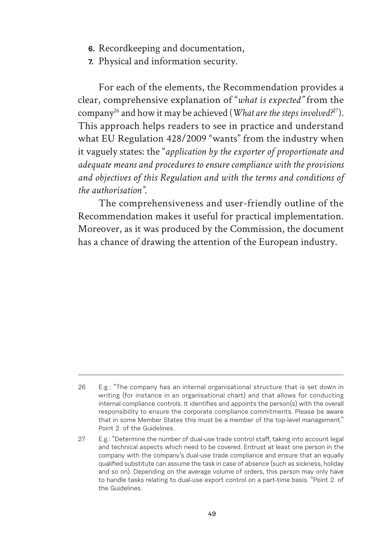- **6.** Recordkeeping and documentation,
- **7.** Physical and information security.

For each of the elements, the Recommendation provides a clear, comprehensive explanation of "*what is expected"* from the company26 and how it may be achieved (*What are the steps involved?*27). This approach helps readers to see in practice and understand what EU Regulation 428/2009 "wants" from the industry when it vaguely states: the "*application by the exporter of proportionate and adequate means and procedures to ensure compliance with the provisions and objectives of this Regulation and with the terms and conditions of the authorisation".* 

The comprehensiveness and user-friendly outline of the Recommendation makes it useful for practical implementation. Moreover, as it was produced by the Commission, the document has a chance of drawing the attention of the European industry.

<sup>26</sup> E.g.: "The company has an internal organisational structure that is set down in writing (for instance in an organisational chart) and that allows for conducting internal compliance controls. It identifies and appoints the person(s) with the overall responsibility to ensure the corporate compliance commitments. Please be aware that in some Member States this must be a member of the top-level management." Point 2. of the Guidelines.

<sup>27</sup> E.g.: "Determine the number of dual-use trade control staff, taking into account legal and technical aspects which need to be covered. Entrust at least one person in the company with the company's dual-use trade compliance and ensure that an equally qualified substitute can assume the task in case of absence (such as sickness, holiday and so on). Depending on the average volume of orders, this person may only have to handle tasks relating to dual-use export control on a part-time basis. "Point 2. of the Guidelines.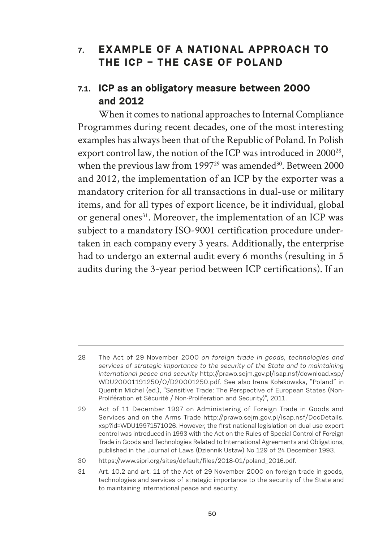#### **7. EXAMPLE OF A NATIONAL APPROACH TO THE ICP – THE CASE OF POLAND**

## **7.1. ICP as an obligatory measure between 2000 and 2012**

When it comes to national approaches to Internal Compliance Programmes during recent decades, one of the most interesting examples has always been that of the Republic of Poland. In Polish export control law, the notion of the ICP was introduced in 2000<sup>28</sup>, when the previous law from  $1997<sup>29</sup>$  was amended<sup>30</sup>. Between 2000 and 2012, the implementation of an ICP by the exporter was a mandatory criterion for all transactions in dual-use or military items, and for all types of export licence, be it individual, global or general ones<sup>31</sup>. Moreover, the implementation of an ICP was subject to a mandatory ISO-9001 certification procedure undertaken in each company every 3 years. Additionally, the enterprise had to undergo an external audit every 6 months (resulting in 5 audits during the 3-year period between ICP certifications). If an

<sup>28</sup> The Act of 29 November 2000 *on foreign trade in goods, technologies and services of strategic importance to the security of the State and to maintaining international peace and security* http://prawo.sejm.gov.pl/isap.nsf/download.xsp/ WDU20001191250/O/D20001250.pdf. See also Irena Kołakowska, "Poland" in Quentin Michel (ed.), "Sensitive Trade: The Perspective of European States (Non-Prolifération et Sécurité / Non-Proliferation and Security)", 2011.

<sup>29</sup> Act of 11 December 1997 on Administering of Foreign Trade in Goods and Services and on the Arms Trade http://prawo.sejm.gov.pl/isap.nsf/DocDetails. xsp?id=WDU19971571026. However, the first national legislation on dual use export control was introduced in 1993 with the Act on the Rules of Special Control of Foreign Trade in Goods and Technologies Related to International Agreements and Obligations, published in the Journal of Laws (Dziennik Ustaw) No 129 of 24 December 1993.

<sup>30</sup> https://www.sipri.org/sites/default/files/2018-01/poland\_2016.pdf.

<sup>31</sup> Art. 10.2 and art. 11 of the Act of 29 November 2000 on foreign trade in goods, technologies and services of strategic importance to the security of the State and to maintaining international peace and security.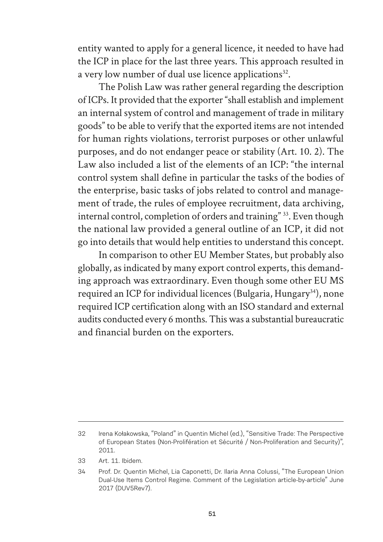entity wanted to apply for a general licence, it needed to have had the ICP in place for the last three years. This approach resulted in a very low number of dual use licence applications $32$ .

The Polish Law was rather general regarding the description of ICPs. It provided that the exporter "shall establish and implement an internal system of control and management of trade in military goods" to be able to verify that the exported items are not intended for human rights violations, terrorist purposes or other unlawful purposes, and do not endanger peace or stability (Art. 10. 2). The Law also included a list of the elements of an ICP: "the internal control system shall define in particular the tasks of the bodies of the enterprise, basic tasks of jobs related to control and management of trade, the rules of employee recruitment, data archiving, internal control, completion of orders and training"<sup>33</sup>. Even though the national law provided a general outline of an ICP, it did not go into details that would help entities to understand this concept.

In comparison to other EU Member States, but probably also globally, as indicated by many export control experts, this demanding approach was extraordinary. Even though some other EU MS required an ICP for individual licences (Bulgaria, Hungary<sup>34</sup>), none required ICP certification along with an ISO standard and external audits conducted every 6 months. This was a substantial bureaucratic and financial burden on the exporters.

<sup>32</sup> Irena Kołakowska, "Poland" in Quentin Michel (ed.), "Sensitive Trade: The Perspective of European States (Non-Prolifération et Sécurité / Non-Proliferation and Security)", 2011.

<sup>33</sup> Art. 11. Ibidem.

<sup>34</sup> Prof. Dr. Quentin Michel, Lia Caponetti, Dr. Ilaria Anna Colussi, "The European Union Dual-Use Items Control Regime. Comment of the Legislation article-by-article" June 2017 (DUV5Rev7).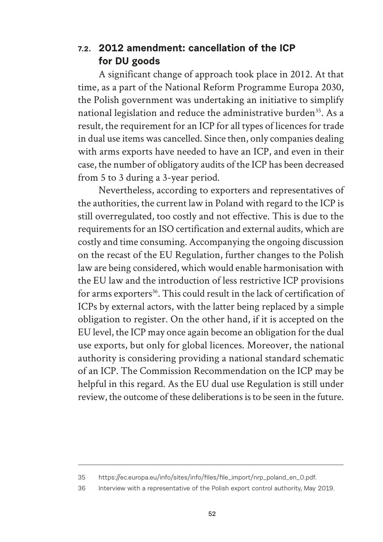#### **7.2. 2012 amendment: cancellation of the ICP for DU goods**

A significant change of approach took place in 2012. At that time, as a part of the National Reform Programme Europa 2030, the Polish government was undertaking an initiative to simplify national legislation and reduce the administrative burden<sup>35</sup>. As a result, the requirement for an ICP for all types of licences for trade in dual use items was cancelled. Since then, only companies dealing with arms exports have needed to have an ICP, and even in their case, the number of obligatory audits of the ICP has been decreased from 5 to 3 during a 3-year period.

Nevertheless, according to exporters and representatives of the authorities, the current law in Poland with regard to the ICP is still overregulated, too costly and not effective. This is due to the requirements for an ISO certification and external audits, which are costly and time consuming. Accompanying the ongoing discussion on the recast of the EU Regulation, further changes to the Polish law are being considered, which would enable harmonisation with the EU law and the introduction of less restrictive ICP provisions for arms exporters<sup>36</sup>. This could result in the lack of certification of ICPs by external actors, with the latter being replaced by a simple obligation to register. On the other hand, if it is accepted on the EU level, the ICP may once again become an obligation for the dual use exports, but only for global licences. Moreover, the national authority is considering providing a national standard schematic of an ICP. The Commission Recommendation on the ICP may be helpful in this regard. As the EU dual use Regulation is still under review, the outcome of these deliberations is to be seen in the future.

<sup>35</sup> https://ec.europa.eu/info/sites/info/files/file\_import/nrp\_poland\_en\_0.pdf.

<sup>36</sup> Interview with a representative of the Polish export control authority, May 2019.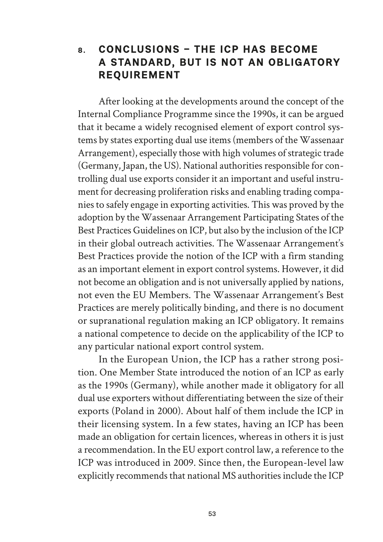#### **8. CONCLUSIONS – THE ICP HAS BECOME A STANDARD, BUT IS NOT AN OBLIGATORY REQUIREMENT**

After looking at the developments around the concept of the Internal Compliance Programme since the 1990s, it can be argued that it became a widely recognised element of export control systems by states exporting dual use items (members of the Wassenaar Arrangement), especially those with high volumes of strategic trade (Germany, Japan, the US). National authorities responsible for controlling dual use exports consider it an important and useful instrument for decreasing proliferation risks and enabling trading companies to safely engage in exporting activities. This was proved by the adoption by the Wassenaar Arrangement Participating States of the Best Practices Guidelines on ICP, but also by the inclusion of the ICP in their global outreach activities. The Wassenaar Arrangement's Best Practices provide the notion of the ICP with a firm standing as an important element in export control systems. However, it did not become an obligation and is not universally applied by nations, not even the EU Members. The Wassenaar Arrangement's Best Practices are merely politically binding, and there is no document or supranational regulation making an ICP obligatory. It remains a national competence to decide on the applicability of the ICP to any particular national export control system.

In the European Union, the ICP has a rather strong position. One Member State introduced the notion of an ICP as early as the 1990s (Germany), while another made it obligatory for all dual use exporters without differentiating between the size of their exports (Poland in 2000). About half of them include the ICP in their licensing system. In a few states, having an ICP has been made an obligation for certain licences, whereas in others it is just a recommendation. In the EU export control law, a reference to the ICP was introduced in 2009. Since then, the European-level law explicitly recommends that national MS authorities include the ICP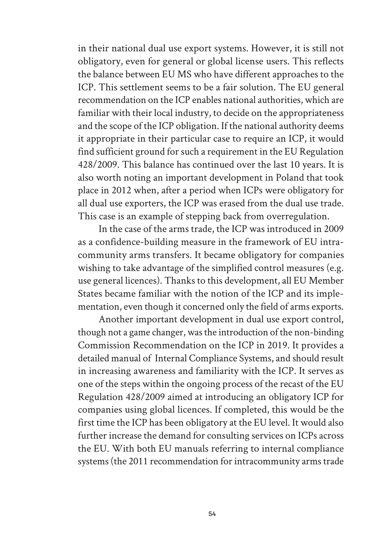in their national dual use export systems. However, it is still not obligatory, even for general or global license users. This reflects the balance between EU MS who have different approaches to the ICP. This settlement seems to be a fair solution. The EU general recommendation on the ICP enables national authorities, which are familiar with their local industry, to decide on the appropriateness and the scope of the ICP obligation. If the national authority deems it appropriate in their particular case to require an ICP, it would find sufficient ground for such a requirement in the EU Regulation 428/2009. This balance has continued over the last 10 years. It is also worth noting an important development in Poland that took place in 2012 when, after a period when ICPs were obligatory for all dual use exporters, the ICP was erased from the dual use trade. This case is an example of stepping back from overregulation.

In the case of the arms trade, the ICP was introduced in 2009 as a confidence-building measure in the framework of EU intracommunity arms transfers. It became obligatory for companies wishing to take advantage of the simplified control measures (e.g. use general licences). Thanks to this development, all EU Member States became familiar with the notion of the ICP and its implementation, even though it concerned only the field of arms exports.

Another important development in dual use export control, though not a game changer, was the introduction of the non-binding Commission Recommendation on the ICP in 2019. It provides a detailed manual of Internal Compliance Systems, and should result in increasing awareness and familiarity with the ICP. It serves as one of the steps within the ongoing process of the recast of the EU Regulation 428/2009 aimed at introducing an obligatory ICP for companies using global licences. If completed, this would be the first time the ICP has been obligatory at the EU level. It would also further increase the demand for consulting services on ICPs across the EU. With both EU manuals referring to internal compliance systems (the 2011 recommendation for intracommunity arms trade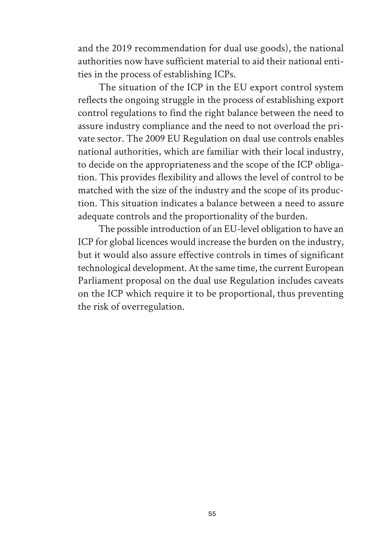and the 2019 recommendation for dual use goods), the national authorities now have sufficient material to aid their national entities in the process of establishing ICPs.

The situation of the ICP in the EU export control system reflects the ongoing struggle in the process of establishing export control regulations to find the right balance between the need to assure industry compliance and the need to not overload the private sector. The 2009 EU Regulation on dual use controls enables national authorities, which are familiar with their local industry, to decide on the appropriateness and the scope of the ICP obligation. This provides flexibility and allows the level of control to be matched with the size of the industry and the scope of its production. This situation indicates a balance between a need to assure adequate controls and the proportionality of the burden.

The possible introduction of an EU-level obligation to have an ICP for global licences would increase the burden on the industry, but it would also assure effective controls in times of significant technological development. At the same time, the current European Parliament proposal on the dual use Regulation includes caveats on the ICP which require it to be proportional, thus preventing the risk of overregulation.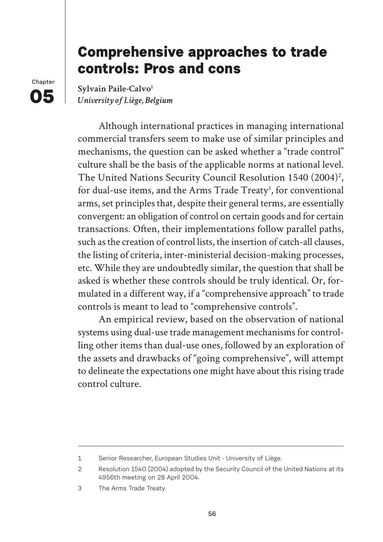## **Comprehensive approaches to trade controls: Pros and cons**

**Chapter 05**

Sylvain Paile-Calvo<sup>1</sup> *University of Liège, Belgium*

Although international practices in managing international commercial transfers seem to make use of similar principles and mechanisms, the question can be asked whether a "trade control" culture shall be the basis of the applicable norms at national level. The United Nations Security Council Resolution 1540 (2004)<sup>2</sup>, for dual-use items, and the Arms Trade Treaty<sup>3</sup>, for conventional arms, set principles that, despite their general terms, are essentially convergent: an obligation of control on certain goods and for certain transactions. Often, their implementations follow parallel paths, such as the creation of control lists, the insertion of catch-all clauses, the listing of criteria, inter-ministerial decision-making processes, etc. While they are undoubtedly similar, the question that shall be asked is whether these controls should be truly identical. Or, formulated in a different way, if a "comprehensive approach" to trade controls is meant to lead to "comprehensive controls".

An empirical review, based on the observation of national systems using dual-use trade management mechanisms for controlling other items than dual-use ones, followed by an exploration of the assets and drawbacks of "going comprehensive", will attempt to delineate the expectations one might have about this rising trade control culture.

<sup>1</sup> Senior Researcher, European Studies Unit - University of Liège.

<sup>2</sup> Resolution 1540 (2004) adopted by the Security Council of the United Nations at its 4956th meeting on 28 April 2004.

<sup>3</sup> The Arms Trade Treaty.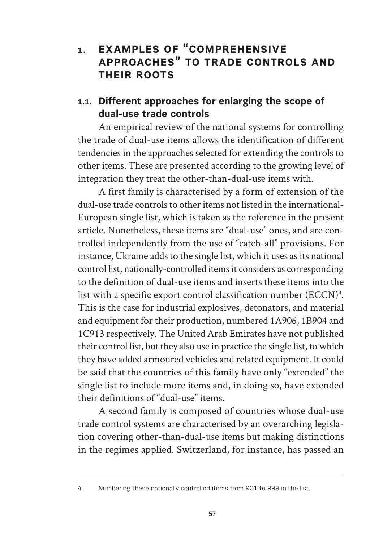## **1. EXAMPLES OF "COMPREHENSIVE APPROACHES" TO TRADE CONTROLS AND THEIR ROOTS**

#### 1.1. Different approaches for enlarging the scope of **dual-use trade controls**

An empirical review of the national systems for controlling the trade of dual-use items allows the identification of different tendencies in the approaches selected for extending the controls to other items. These are presented according to the growing level of integration they treat the other-than-dual-use items with.

A first family is characterised by a form of extension of the dual-use trade controls to other items not listed in the international-European single list, which is taken as the reference in the present article. Nonetheless, these items are "dual-use" ones, and are controlled independently from the use of "catch-all" provisions. For instance, Ukraine adds to the single list, which it uses as its national control list, nationally-controlled items it considers as corresponding to the definition of dual-use items and inserts these items into the list with a specific export control classification number (ECCN)4 . This is the case for industrial explosives, detonators, and material and equipment for their production, numbered 1A906, 1B904 and 1C913 respectively. The United Arab Emirates have not published their control list, but they also use in practice the single list, to which they have added armoured vehicles and related equipment. It could be said that the countries of this family have only "extended" the single list to include more items and, in doing so, have extended their definitions of "dual-use" items.

A second family is composed of countries whose dual-use trade control systems are characterised by an overarching legislation covering other-than-dual-use items but making distinctions in the regimes applied. Switzerland, for instance, has passed an

<sup>4</sup> Numbering these nationally-controlled items from 901 to 999 in the list.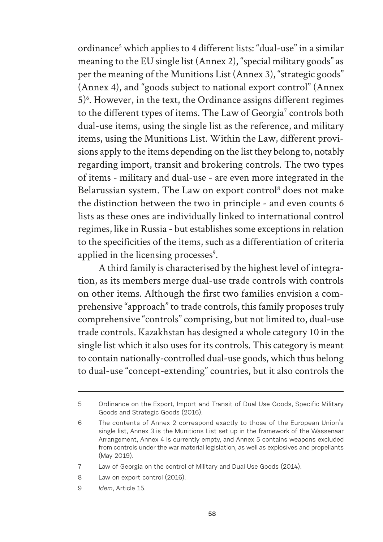ordinance<sup>5</sup> which applies to 4 different lists: "dual-use" in a similar meaning to the EU single list (Annex 2), "special military goods" as per the meaning of the Munitions List (Annex 3), "strategic goods" (Annex 4), and "goods subject to national export control" (Annex 5<sup>)6</sup>. However, in the text, the Ordinance assigns different regimes to the different types of items. The Law of Georgia<sup>7</sup> controls both dual-use items, using the single list as the reference, and military items, using the Munitions List. Within the Law, different provisions apply to the items depending on the list they belong to, notably regarding import, transit and brokering controls. The two types of items - military and dual-use - are even more integrated in the Belarussian system. The Law on export control<sup>8</sup> does not make the distinction between the two in principle - and even counts 6 lists as these ones are individually linked to international control regimes, like in Russia - but establishes some exceptions in relation to the specificities of the items, such as a differentiation of criteria applied in the licensing processes<sup>9</sup>.

A third family is characterised by the highest level of integration, as its members merge dual-use trade controls with controls on other items. Although the first two families envision a comprehensive "approach" to trade controls, this family proposes truly comprehensive "controls" comprising, but not limited to, dual-use trade controls. Kazakhstan has designed a whole category 10 in the single list which it also uses for its controls. This category is meant to contain nationally-controlled dual-use goods, which thus belong to dual-use "concept-extending" countries, but it also controls the

9 *Idem*, Article 15.

<sup>5</sup> Ordinance on the Export, Import and Transit of Dual Use Goods, Specific Military Goods and Strategic Goods (2016).

<sup>6</sup> The contents of Annex 2 correspond exactly to those of the European Union's single list, Annex 3 is the Munitions List set up in the framework of the Wassenaar Arrangement, Annex 4 is currently empty, and Annex 5 contains weapons excluded from controls under the war material legislation, as well as explosives and propellants (May 2019).

<sup>7</sup> Law of Georgia on the control of Military and Dual-Use Goods (2014).

<sup>8</sup> Law on export control (2016).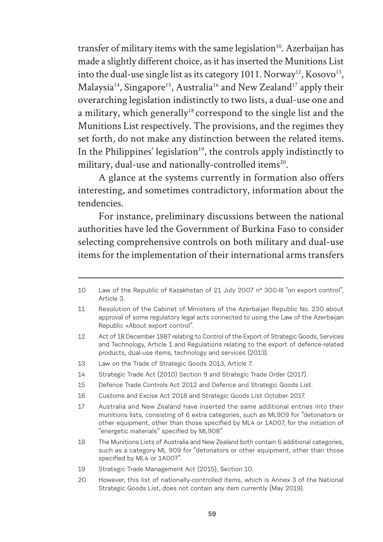transfer of military items with the same legislation<sup>10</sup>. Azerbaijan has made a slightly different choice, as it has inserted the Munitions List into the dual-use single list as its category 1011. Norway<sup>12</sup>, Kosovo<sup>13</sup>, Malaysia<sup>14</sup>, Singapore<sup>15</sup>, Australia<sup>16</sup> and New Zealand<sup>17</sup> apply their overarching legislation indistinctly to two lists, a dual-use one and a military, which generally<sup>18</sup> correspond to the single list and the Munitions List respectively. The provisions, and the regimes they set forth, do not make any distinction between the related items. In the Philippines' legislation<sup>19</sup>, the controls apply indistinctly to military, dual-use and nationally-controlled items<sup>20</sup>.

A glance at the systems currently in formation also offers interesting, and sometimes contradictory, information about the tendencies.

For instance, preliminary discussions between the national authorities have led the Government of Burkina Faso to consider selecting comprehensive controls on both military and dual-use items for the implementation of their international arms transfers

<sup>10</sup> Law of the Republic of Kazakhstan of 21 July 2007 n° 300-III "on export control", Article 3.

<sup>11</sup> Resolution of the Cabinet of Ministers of the Azerbaijan Republic No. 230 about approval of some regulatory legal acts connected to using the Law of the Azerbaijan Republic «About export control".

<sup>12</sup> Act of 18 December 1987 relating to Control of the Export of Strategic Goods, Services and Technology, Article 1 and Regulations relating to the export of defence-related products, dual-use items, technology and services (2013).

<sup>13</sup> Law on the Trade of Strategic Goods 2013, Article 7.

<sup>14</sup> Strategic Trade Act (2010) Section 9 and Strategic Trade Order (2017).

<sup>15</sup> Defence Trade Controls Act 2012 and Defence and Strategic Goods List.

<sup>16</sup> Customs and Excise Act 2018 and Strategic Goods List October 2017.

<sup>17</sup> Australia and New Zealand have inserted the same additional entries into their munitions lists, consisting of 6 extra categories, such as ML909 for "detonators or other equipment, other than those specified by ML4 or 1A007, for the initiation of "energetic materials" specified by ML908".

<sup>18</sup> The Munitions Lists of Australia and New Zealand both contain 6 additional categories, such as a category ML 909 for "detonators or other equipment, other than those specified by ML4 or 1A007".

<sup>19</sup> Strategic Trade Management Act (2015), Section 10.

<sup>20</sup> However, this list of nationally-controlled items, which is Annex 3 of the National Strategic Goods List, does not contain any item currently (May 2019).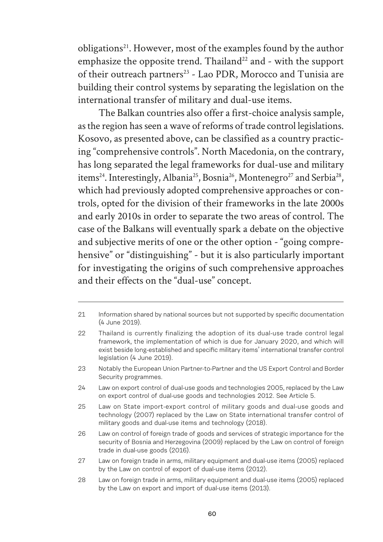obligations<sup>21</sup>. However, most of the examples found by the author emphasize the opposite trend. Thailand<sup>22</sup> and - with the support of their outreach partners<sup>23</sup> - Lao PDR, Morocco and Tunisia are building their control systems by separating the legislation on the international transfer of military and dual-use items.

The Balkan countries also offer a first-choice analysis sample, as the region has seen a wave of reforms of trade control legislations. Kosovo, as presented above, can be classified as a country practicing "comprehensive controls". North Macedonia, on the contrary, has long separated the legal frameworks for dual-use and military items<sup>24</sup>. Interestingly, Albania<sup>25</sup>, Bosnia<sup>26</sup>, Montenegro<sup>27</sup> and Serbia<sup>28</sup>, which had previously adopted comprehensive approaches or controls, opted for the division of their frameworks in the late 2000s and early 2010s in order to separate the two areas of control. The case of the Balkans will eventually spark a debate on the objective and subjective merits of one or the other option - "going comprehensive" or "distinguishing" - but it is also particularly important for investigating the origins of such comprehensive approaches and their effects on the "dual-use" concept.

<sup>21</sup> Information shared by national sources but not supported by specific documentation (4 June 2019).

<sup>22</sup> Thailand is currently finalizing the adoption of its dual-use trade control legal framework, the implementation of which is due for January 2020, and which will exist beside long-established and specific military items' international transfer control legislation (4 June 2019).

<sup>23</sup> Notably the European Union Partner-to-Partner and the US Export Control and Border Security programmes.

<sup>24</sup> Law on export control of dual-use goods and technologies 2005, replaced by the Law on export control of dual-use goods and technologies 2012. See Article 5.

<sup>25</sup> Law on State import-export control of military goods and dual-use goods and technology (2007) replaced by the Law on State international transfer control of military goods and dual-use items and technology (2018).

<sup>26</sup> Law on control of foreign trade of goods and services of strategic importance for the security of Bosnia and Herzegovina (2009) replaced by the Law on control of foreign trade in dual-use goods (2016).

<sup>27</sup> Law on foreign trade in arms, military equipment and dual-use items (2005) replaced by the Law on control of export of dual-use items (2012).

<sup>28</sup> Law on foreign trade in arms, military equipment and dual-use items (2005) replaced by the Law on export and import of dual-use items (2013).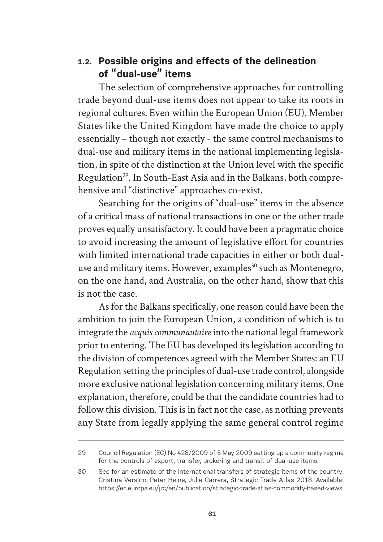#### 1.2. Possible origins and effects of the delineation **of "dual-use" items**

The selection of comprehensive approaches for controlling trade beyond dual-use items does not appear to take its roots in regional cultures. Even within the European Union (EU), Member States like the United Kingdom have made the choice to apply essentially – though not exactly - the same control mechanisms to dual-use and military items in the national implementing legislation, in spite of the distinction at the Union level with the specific Regulation<sup>29</sup>. In South-East Asia and in the Balkans, both comprehensive and "distinctive" approaches co-exist.

Searching for the origins of "dual-use" items in the absence of a critical mass of national transactions in one or the other trade proves equally unsatisfactory. It could have been a pragmatic choice to avoid increasing the amount of legislative effort for countries with limited international trade capacities in either or both dualuse and military items. However, examples<sup>30</sup> such as Montenegro, on the one hand, and Australia, on the other hand, show that this is not the case.

As for the Balkans specifically, one reason could have been the ambition to join the European Union, a condition of which is to integrate the *acquis communautaire* into the national legal framework prior to entering. The EU has developed its legislation according to the division of competences agreed with the Member States: an EU Regulation setting the principles of dual-use trade control, alongside more exclusive national legislation concerning military items. One explanation, therefore, could be that the candidate countries had to follow this division. This is in fact not the case, as nothing prevents any State from legally applying the same general control regime

<sup>29</sup> Council Regulation (EC) No 428/2009 of 5 May 2009 setting up a community regime for the controls of export, transfer, brokering and transit of dual-use items.

<sup>30</sup> See for an estimate of the international transfers of strategic items of the country: Cristina Versino, Peter Heine, Julie Carrera, Strategic Trade Atlas 2018. Available: https://ec.europa.eu/jrc/en/publication/strategic-trade-atlas-commodity-based-views.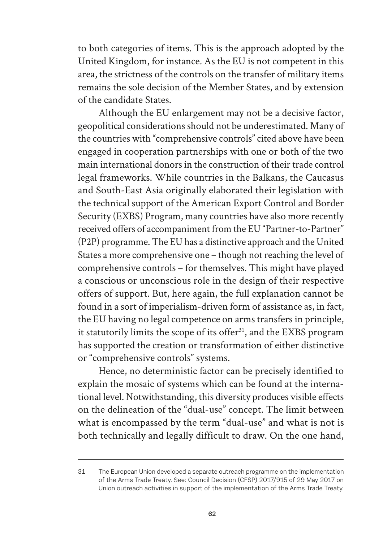to both categories of items. This is the approach adopted by the United Kingdom, for instance. As the EU is not competent in this area, the strictness of the controls on the transfer of military items remains the sole decision of the Member States, and by extension of the candidate States.

Although the EU enlargement may not be a decisive factor, geopolitical considerations should not be underestimated. Many of the countries with "comprehensive controls" cited above have been engaged in cooperation partnerships with one or both of the two main international donors in the construction of their trade control legal frameworks. While countries in the Balkans, the Caucasus and South-East Asia originally elaborated their legislation with the technical support of the American Export Control and Border Security (EXBS) Program, many countries have also more recently received offers of accompaniment from the EU "Partner-to-Partner" (P2P) programme. The EU has a distinctive approach and the United States a more comprehensive one – though not reaching the level of comprehensive controls – for themselves. This might have played a conscious or unconscious role in the design of their respective offers of support. But, here again, the full explanation cannot be found in a sort of imperialism-driven form of assistance as, in fact, the EU having no legal competence on arms transfers in principle, it statutorily limits the scope of its offer<sup>31</sup>, and the EXBS program has supported the creation or transformation of either distinctive or "comprehensive controls" systems.

Hence, no deterministic factor can be precisely identified to explain the mosaic of systems which can be found at the international level. Notwithstanding, this diversity produces visible effects on the delineation of the "dual-use" concept. The limit between what is encompassed by the term "dual-use" and what is not is both technically and legally difficult to draw. On the one hand,

<sup>31</sup> The European Union developed a separate outreach programme on the implementation of the Arms Trade Treaty. See: Council Decision (CFSP) 2017/915 of 29 May 2017 on Union outreach activities in support of the implementation of the Arms Trade Treaty.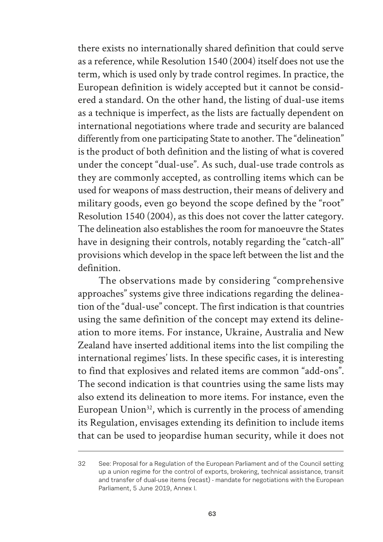there exists no internationally shared definition that could serve as a reference, while Resolution 1540 (2004) itself does not use the term, which is used only by trade control regimes. In practice, the European definition is widely accepted but it cannot be considered a standard. On the other hand, the listing of dual-use items as a technique is imperfect, as the lists are factually dependent on international negotiations where trade and security are balanced differently from one participating State to another. The "delineation" is the product of both definition and the listing of what is covered under the concept "dual-use". As such, dual-use trade controls as they are commonly accepted, as controlling items which can be used for weapons of mass destruction, their means of delivery and military goods, even go beyond the scope defined by the "root" Resolution 1540 (2004), as this does not cover the latter category. The delineation also establishes the room for manoeuvre the States have in designing their controls, notably regarding the "catch-all" provisions which develop in the space left between the list and the definition.

The observations made by considering "comprehensive approaches" systems give three indications regarding the delineation of the "dual-use" concept. The first indication is that countries using the same definition of the concept may extend its delineation to more items. For instance, Ukraine, Australia and New Zealand have inserted additional items into the list compiling the international regimes' lists. In these specific cases, it is interesting to find that explosives and related items are common "add-ons". The second indication is that countries using the same lists may also extend its delineation to more items. For instance, even the European Union $32$ , which is currently in the process of amending its Regulation, envisages extending its definition to include items that can be used to jeopardise human security, while it does not

<sup>32</sup> See: Proposal for a Regulation of the European Parliament and of the Council setting up a union regime for the control of exports, brokering, technical assistance, transit and transfer of dual-use items (recast) - mandate for negotiations with the European Parliament, 5 June 2019, Annex I.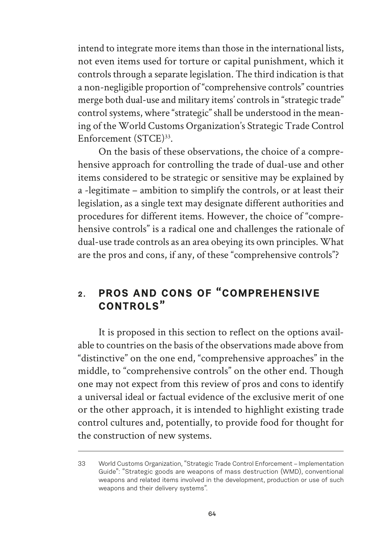intend to integrate more items than those in the international lists, not even items used for torture or capital punishment, which it controls through a separate legislation. The third indication is that a non-negligible proportion of "comprehensive controls" countries merge both dual-use and military items' controls in "strategic trade" control systems, where "strategic" shall be understood in the meaning of the World Customs Organization's Strategic Trade Control Enforcement (STCE)<sup>33</sup>.

On the basis of these observations, the choice of a comprehensive approach for controlling the trade of dual-use and other items considered to be strategic or sensitive may be explained by a -legitimate – ambition to simplify the controls, or at least their legislation, as a single text may designate different authorities and procedures for different items. However, the choice of "comprehensive controls" is a radical one and challenges the rationale of dual-use trade controls as an area obeying its own principles. What are the pros and cons, if any, of these "comprehensive controls"?

## **2. PROS AND CONS OF "COMPREHENSIVE CONTROLS"**

It is proposed in this section to reflect on the options available to countries on the basis of the observations made above from "distinctive" on the one end, "comprehensive approaches" in the middle, to "comprehensive controls" on the other end. Though one may not expect from this review of pros and cons to identify a universal ideal or factual evidence of the exclusive merit of one or the other approach, it is intended to highlight existing trade control cultures and, potentially, to provide food for thought for the construction of new systems.

<sup>33</sup> World Customs Organization, "Strategic Trade Control Enforcement – Implementation Guide": "Strategic goods are weapons of mass destruction (WMD), conventional weapons and related items involved in the development, production or use of such weapons and their delivery systems".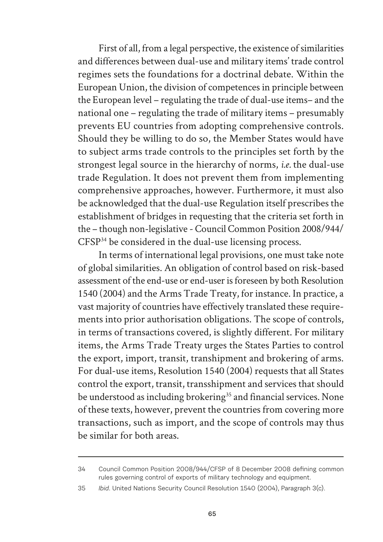First of all, from a legal perspective, the existence of similarities and differences between dual-use and military items' trade control regimes sets the foundations for a doctrinal debate. Within the European Union, the division of competences in principle between the European level – regulating the trade of dual-use items– and the national one – regulating the trade of military items – presumably prevents EU countries from adopting comprehensive controls. Should they be willing to do so, the Member States would have to subject arms trade controls to the principles set forth by the strongest legal source in the hierarchy of norms, *i.e.* the dual-use trade Regulation. It does not prevent them from implementing comprehensive approaches, however. Furthermore, it must also be acknowledged that the dual-use Regulation itself prescribes the establishment of bridges in requesting that the criteria set forth in the – though non-legislative - Council Common Position 2008/944/ CFSP34 be considered in the dual-use licensing process.

In terms of international legal provisions, one must take note of global similarities. An obligation of control based on risk-based assessment of the end-use or end-user is foreseen by both Resolution 1540 (2004) and the Arms Trade Treaty, for instance. In practice, a vast majority of countries have effectively translated these requirements into prior authorisation obligations. The scope of controls, in terms of transactions covered, is slightly different. For military items, the Arms Trade Treaty urges the States Parties to control the export, import, transit, transhipment and brokering of arms. For dual-use items, Resolution 1540 (2004) requests that all States control the export, transit, transshipment and services that should be understood as including brokering<sup>35</sup> and financial services. None of these texts, however, prevent the countries from covering more transactions, such as import, and the scope of controls may thus be similar for both areas.

<sup>34</sup> Council Common Position 2008/944/CFSP of 8 December 2008 defining common rules governing control of exports of military technology and equipment.

<sup>35</sup> *Ibid*. United Nations Security Council Resolution 1540 (2004), Paragraph 3(c).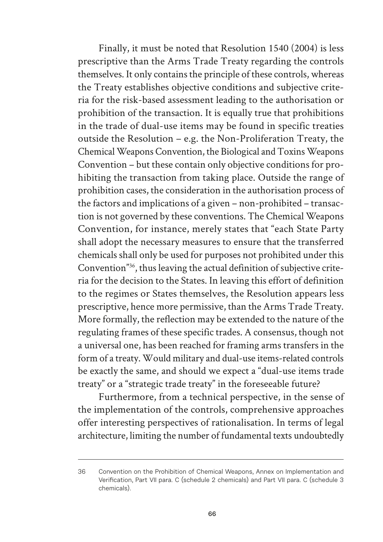Finally, it must be noted that Resolution 1540 (2004) is less prescriptive than the Arms Trade Treaty regarding the controls themselves. It only contains the principle of these controls, whereas the Treaty establishes objective conditions and subjective criteria for the risk-based assessment leading to the authorisation or prohibition of the transaction. It is equally true that prohibitions in the trade of dual-use items may be found in specific treaties outside the Resolution – e.g. the Non-Proliferation Treaty, the Chemical Weapons Convention, the Biological and Toxins Weapons Convention – but these contain only objective conditions for prohibiting the transaction from taking place. Outside the range of prohibition cases, the consideration in the authorisation process of the factors and implications of a given – non-prohibited – transaction is not governed by these conventions. The Chemical Weapons Convention, for instance, merely states that "each State Party shall adopt the necessary measures to ensure that the transferred chemicals shall only be used for purposes not prohibited under this Convention"36, thus leaving the actual definition of subjective criteria for the decision to the States. In leaving this effort of definition to the regimes or States themselves, the Resolution appears less prescriptive, hence more permissive, than the Arms Trade Treaty. More formally, the reflection may be extended to the nature of the regulating frames of these specific trades. A consensus, though not a universal one, has been reached for framing arms transfers in the form of a treaty. Would military and dual-use items-related controls be exactly the same, and should we expect a "dual-use items trade treaty" or a "strategic trade treaty" in the foreseeable future?

Furthermore, from a technical perspective, in the sense of the implementation of the controls, comprehensive approaches offer interesting perspectives of rationalisation. In terms of legal architecture, limiting the number of fundamental texts undoubtedly

<sup>36</sup> Convention on the Prohibition of Chemical Weapons, Annex on Implementation and Verification, Part VII para. C (schedule 2 chemicals) and Part VII para. C (schedule 3 chemicals).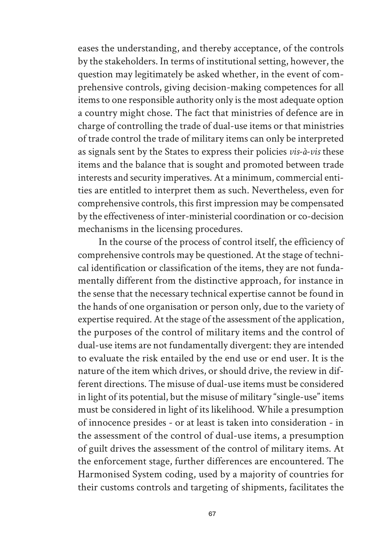eases the understanding, and thereby acceptance, of the controls by the stakeholders. In terms of institutional setting, however, the question may legitimately be asked whether, in the event of comprehensive controls, giving decision-making competences for all items to one responsible authority only is the most adequate option a country might chose. The fact that ministries of defence are in charge of controlling the trade of dual-use items or that ministries of trade control the trade of military items can only be interpreted as signals sent by the States to express their policies *vis-à-vis* these items and the balance that is sought and promoted between trade interests and security imperatives. At a minimum, commercial entities are entitled to interpret them as such. Nevertheless, even for comprehensive controls, this first impression may be compensated by the effectiveness of inter-ministerial coordination or co-decision mechanisms in the licensing procedures.

In the course of the process of control itself, the efficiency of comprehensive controls may be questioned. At the stage of technical identification or classification of the items, they are not fundamentally different from the distinctive approach, for instance in the sense that the necessary technical expertise cannot be found in the hands of one organisation or person only, due to the variety of expertise required. At the stage of the assessment of the application, the purposes of the control of military items and the control of dual-use items are not fundamentally divergent: they are intended to evaluate the risk entailed by the end use or end user. It is the nature of the item which drives, or should drive, the review in different directions. The misuse of dual-use items must be considered in light of its potential, but the misuse of military "single-use" items must be considered in light of its likelihood. While a presumption of innocence presides - or at least is taken into consideration - in the assessment of the control of dual-use items, a presumption of guilt drives the assessment of the control of military items. At the enforcement stage, further differences are encountered. The Harmonised System coding, used by a majority of countries for their customs controls and targeting of shipments, facilitates the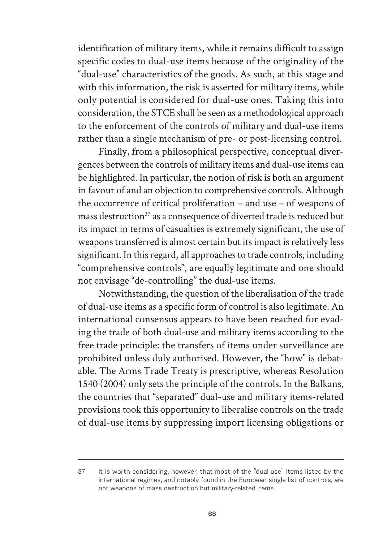identification of military items, while it remains difficult to assign specific codes to dual-use items because of the originality of the "dual-use" characteristics of the goods. As such, at this stage and with this information, the risk is asserted for military items, while only potential is considered for dual-use ones. Taking this into consideration, the STCE shall be seen as a methodological approach to the enforcement of the controls of military and dual-use items rather than a single mechanism of pre- or post-licensing control.

Finally, from a philosophical perspective, conceptual divergences between the controls of military items and dual-use items can be highlighted. In particular, the notion of risk is both an argument in favour of and an objection to comprehensive controls. Although the occurrence of critical proliferation – and use – of weapons of mass destruction<sup>37</sup> as a consequence of diverted trade is reduced but its impact in terms of casualties is extremely significant, the use of weapons transferred is almost certain but its impact is relatively less significant. In this regard, all approaches to trade controls, including "comprehensive controls", are equally legitimate and one should not envisage "de-controlling" the dual-use items.

Notwithstanding, the question of the liberalisation of the trade of dual-use items as a specific form of control is also legitimate. An international consensus appears to have been reached for evading the trade of both dual-use and military items according to the free trade principle: the transfers of items under surveillance are prohibited unless duly authorised. However, the "how" is debatable. The Arms Trade Treaty is prescriptive, whereas Resolution 1540 (2004) only sets the principle of the controls. In the Balkans, the countries that "separated" dual-use and military items-related provisions took this opportunity to liberalise controls on the trade of dual-use items by suppressing import licensing obligations or

<sup>37</sup> It is worth considering, however, that most of the "dual-use" items listed by the international regimes, and notably found in the European single list of controls, are not weapons of mass destruction but military-related items.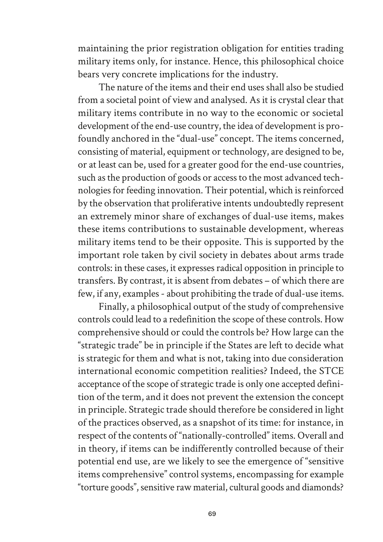maintaining the prior registration obligation for entities trading military items only, for instance. Hence, this philosophical choice bears very concrete implications for the industry.

The nature of the items and their end uses shall also be studied from a societal point of view and analysed. As it is crystal clear that military items contribute in no way to the economic or societal development of the end-use country, the idea of development is profoundly anchored in the "dual-use" concept. The items concerned, consisting of material, equipment or technology, are designed to be, or at least can be, used for a greater good for the end-use countries, such as the production of goods or access to the most advanced technologies for feeding innovation. Their potential, which is reinforced by the observation that proliferative intents undoubtedly represent an extremely minor share of exchanges of dual-use items, makes these items contributions to sustainable development, whereas military items tend to be their opposite. This is supported by the important role taken by civil society in debates about arms trade controls: in these cases, it expresses radical opposition in principle to transfers. By contrast, it is absent from debates – of which there are few, if any, examples - about prohibiting the trade of dual-use items.

Finally, a philosophical output of the study of comprehensive controls could lead to a redefinition the scope of these controls. How comprehensive should or could the controls be? How large can the "strategic trade" be in principle if the States are left to decide what is strategic for them and what is not, taking into due consideration international economic competition realities? Indeed, the STCE acceptance of the scope of strategic trade is only one accepted definition of the term, and it does not prevent the extension the concept in principle. Strategic trade should therefore be considered in light of the practices observed, as a snapshot of its time: for instance, in respect of the contents of "nationally-controlled" items. Overall and in theory, if items can be indifferently controlled because of their potential end use, are we likely to see the emergence of "sensitive items comprehensive" control systems, encompassing for example "torture goods", sensitive raw material, cultural goods and diamonds?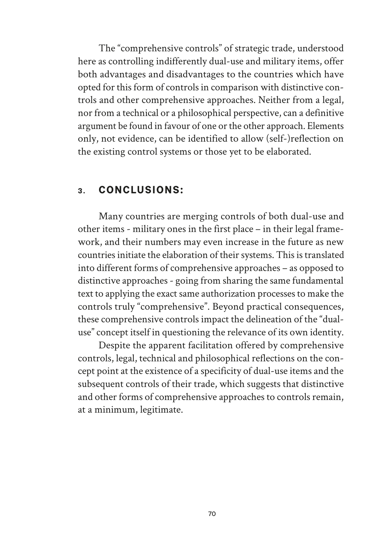The "comprehensive controls" of strategic trade, understood here as controlling indifferently dual-use and military items, offer both advantages and disadvantages to the countries which have opted for this form of controls in comparison with distinctive controls and other comprehensive approaches. Neither from a legal, nor from a technical or a philosophical perspective, can a definitive argument be found in favour of one or the other approach. Elements only, not evidence, can be identified to allow (self-)reflection on the existing control systems or those yet to be elaborated.

#### **3. CONCLUSIONS:**

Many countries are merging controls of both dual-use and other items - military ones in the first place – in their legal framework, and their numbers may even increase in the future as new countries initiate the elaboration of their systems. This is translated into different forms of comprehensive approaches – as opposed to distinctive approaches - going from sharing the same fundamental text to applying the exact same authorization processes to make the controls truly "comprehensive". Beyond practical consequences, these comprehensive controls impact the delineation of the "dualuse" concept itself in questioning the relevance of its own identity.

Despite the apparent facilitation offered by comprehensive controls, legal, technical and philosophical reflections on the concept point at the existence of a specificity of dual-use items and the subsequent controls of their trade, which suggests that distinctive and other forms of comprehensive approaches to controls remain, at a minimum, legitimate.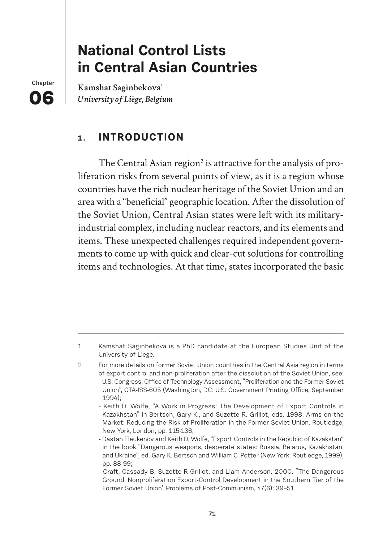# **National Control Lists in Central Asian Countries**

**Chapter 015** 

Kamshat Saginbekova<sup>1</sup> *University of Liège, Belgium*

## **1. INTRODUCTION**

The Central Asian region<sup>2</sup> is attractive for the analysis of proliferation risks from several points of view, as it is a region whose countries have the rich nuclear heritage of the Soviet Union and an area with a "beneficial" geographic location. After the dissolution of the Soviet Union, Central Asian states were left with its militaryindustrial complex, including nuclear reactors, and its elements and items. These unexpected challenges required independent governments to come up with quick and clear-cut solutions for controlling items and technologies. At that time, states incorporated the basic

<sup>1</sup> Kamshat Saginbekova is a PhD candidate at the European Studies Unit of the University of Liege.

<sup>2</sup> For more details on former Soviet Union countries in the Central Asia region in terms of export control and non-proliferation after the dissolution of the Soviet Union, see: - U.S. Congress, Office of Technology Assessment, "Proliferation and the Former Soviet Union", OTA-ISS-605 (Washington, DC: U.S. Government Printing Office, September

<sup>1994);</sup> 

<sup>-</sup> Keith D. Wolfe, "A Work in Progress: The Development of Export Controls in Kazakhstan" in Bertsch, Gary K., and Suzette R. Grillot, eds. 1998. Arms on the Market: Reducing the Risk of Proliferation in the Former Soviet Union. Routledge, New York, London, pp. 115-136;

<sup>-</sup> Dastan Eleukenov and Keith D. Wolfe, "Export Controls in the Republic of Kazakstan" in the book "Dangerous weapons, desperate states: Russia, Belarus, Kazakhstan, and Ukraine", ed. Gary K. Bertsch and William C. Potter (New York: Routledge, 1999), pp. 88-99;

<sup>-</sup> Craft, Cassady B, Suzette R Grillot, and Liam Anderson. 2000. "The Dangerous Ground: Nonproliferation Export-Control Development in the Southern Tier of the Former Soviet Union'. Problems of Post-Communism, 47(6): 39–51.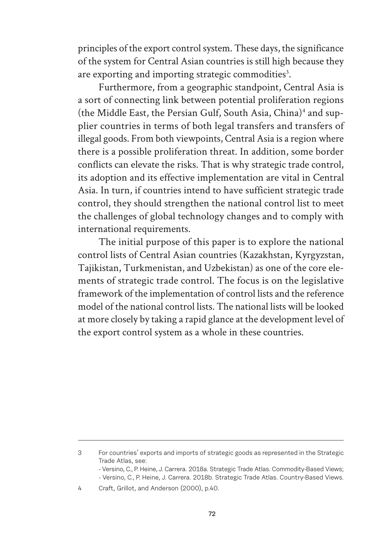principles of the export control system. These days, the significance of the system for Central Asian countries is still high because they are exporting and importing strategic commodities<sup>3</sup>.

Furthermore, from a geographic standpoint, Central Asia is a sort of connecting link between potential proliferation regions (the Middle East, the Persian Gulf, South Asia, China)4 and supplier countries in terms of both legal transfers and transfers of illegal goods. From both viewpoints, Central Asia is a region where there is a possible proliferation threat. In addition, some border conflicts can elevate the risks. That is why strategic trade control, its adoption and its effective implementation are vital in Central Asia. In turn, if countries intend to have sufficient strategic trade control, they should strengthen the national control list to meet the challenges of global technology changes and to comply with international requirements.

The initial purpose of this paper is to explore the national control lists of Central Asian countries (Kazakhstan, Kyrgyzstan, Tajikistan, Turkmenistan, and Uzbekistan) as one of the core elements of strategic trade control. The focus is on the legislative framework of the implementation of control lists and the reference model of the national control lists. The national lists will be looked at more closely by taking a rapid glance at the development level of the export control system as a whole in these countries.

<sup>3</sup> For countries' exports and imports of strategic goods as represented in the Strategic Trade Atlas, see:

<sup>-</sup> Versino, C., P. Heine, J. Carrera. 2018a. Strategic Trade Atlas. Commodity-Based Views; - Versino, C., P. Heine, J. Carrera. 2018b. Strategic Trade Atlas. Country-Based Views.

<sup>4</sup> Craft, Grillot, and Anderson (2000), p.40.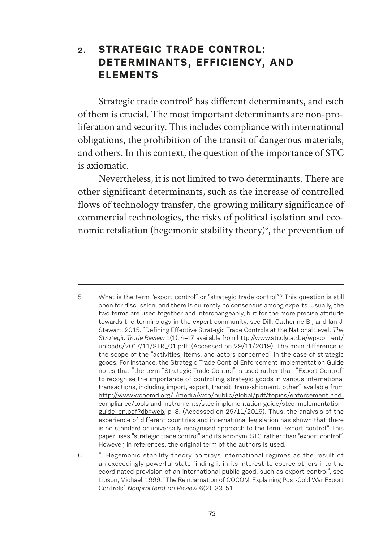## **2. STRATEGIC TRADE CONTROL: DETERMINANTS, EFFICIENCY, AND ELEMENTS**

Strategic trade control<sup>5</sup> has different determinants, and each of them is crucial. The most important determinants are non-proliferation and security. This includes compliance with international obligations, the prohibition of the transit of dangerous materials, and others. In this context, the question of the importance of STC is axiomatic.

Nevertheless, it is not limited to two determinants. There are other significant determinants, such as the increase of controlled flows of technology transfer, the growing military significance of commercial technologies, the risks of political isolation and economic retaliation (hegemonic stability theory)<sup>6</sup>, the prevention of

<sup>5</sup> What is the term "export control" or "strategic trade control"? This question is still open for discussion, and there is currently no consensus among experts. Usually, the two terms are used together and interchangeably, but for the more precise attitude towards the terminology in the expert community, see Dill, Catherine B., and Ian J. Stewart. 2015. "Defining Effective Strategic Trade Controls at the National Level'. The *Strategic Trade Review* 1(1): 4–17, available from http://www.str.ulg.ac.be/wp-content/ uploads/2017/11/STR\_01.pdf. (Accessed on 29/11/2019). The main difference is the scope of the "activities, items, and actors concerned" in the case of strategic goods. For instance, the Strategic Trade Control Enforcement Implementation Guide notes that "the term "Strategic Trade Control" is used rather than "Export Control" to recognise the importance of controlling strategic goods in various international transactions, including import, export, transit, trans-shipment, other", available from http://www.wcoomd.org/-/media/wco/public/global/pdf/topics/enforcement-andcompliance/tools-and-instruments/stce-implementation-guide/stce-implementationguide\_en.pdf?db=web, p. 8. (Accessed on 29/11/2019). Thus, the analysis of the experience of different countries and international legislation has shown that there is no standard or universally recognised approach to the term "export control." This paper uses "strategic trade control" and its acronym, STC, rather than "export control". However, in references, the original term of the authors is used.

<sup>6</sup> "...Hegemonic stability theory portrays international regimes as the result of an exceedingly powerful state finding it in its interest to coerce others into the coordinated provision of an international public good, such as export control", see Lipson, Michael. 1999. "The Reincarnation of COCOM: Explaining Post-Cold War Export Controls'. *Nonproliferation Review* 6(2): 33–51.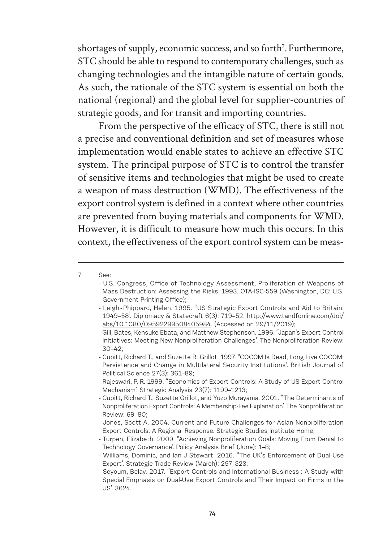shortages of supply, economic success, and so forth<sup>7</sup>. Furthermore, STC should be able to respond to contemporary challenges, such as changing technologies and the intangible nature of certain goods. As such, the rationale of the STC system is essential on both the national (regional) and the global level for supplier-countries of strategic goods, and for transit and importing countries.

From the perspective of the efficacy of STC, there is still not a precise and conventional definition and set of measures whose implementation would enable states to achieve an effective STC system. The principal purpose of STC is to control the transfer of sensitive items and technologies that might be used to create a weapon of mass destruction (WMD). The effectiveness of the export control system is defined in a context where other countries are prevented from buying materials and components for WMD. However, it is difficult to measure how much this occurs. In this context, the effectiveness of the export control system can be meas-

- Rajeswari, P. R. 1999. "Economics of Export Controls: A Study of US Export Control Mechanism'. Strategic Analysis 23(7): 1199–1213;

- Turpen, Elizabeth. 2009. "Achieving Nonproliferation Goals: Moving From Denial to Technology Governance'. Policy Analysis Brief (June): 1–8;

<sup>7</sup> See:

<sup>-</sup> U.S. Congress, Office of Technology Assessment, Proliferation of Weapons of Mass Destruction: Assessing the Risks. 1993. OTA-ISC-559 (Washington, DC: U.S. Government Printing Office);

<sup>-</sup> Leigh - Phippard, Helen. 1995. "US Strategic Export Controls and Aid to Britain, 1949–58'. Diplomacy & Statecra% 6(3): 719–52. http://www.tandfonline.com/doi/ abs/10.1080/09592299508405984. (Accessed on 29/11/2019);

<sup>-</sup> Gill, Bates, Kensuke Ebata, and Matthew Stephenson. 1996. "Japan's Export Control Initiatives: Meeting New Nonproliferation Challenges'. The Nonproliferation Review: 30–42;

<sup>-</sup> Cupitt, Richard T., and Suzette R. Grillot. 1997. "COCOM Is Dead, Long Live COCOM: Persistence and Change in Multilateral Security Institutions'. British Journal of Political Science 27(3): 361–89;

<sup>-</sup> Cupitt, Richard T., Suzette Grillot, and Yuzo Murayama. 2001. "The Determinants of Nonproliferation Export Controls: A Membership-Fee Explanation'. The Nonproliferation Review: 69–80;

<sup>-</sup> Jones, Scott A. 2004. Current and Future Challenges for Asian Nonproliferation Export Controls: A Regional Response. Strategic Studies Institute Home;

<sup>-</sup> Williams, Dominic, and Ian J Stewart. 2016. "The UK's Enforcement of Dual-Use Export'. Strategic Trade Review (March): 297–323;

<sup>-</sup> Seyoum, Belay. 2017. "Export Controls and International Business : A Study with Special Emphasis on Dual-Use Export Controls and Their Impact on Firms in the US'. 3624.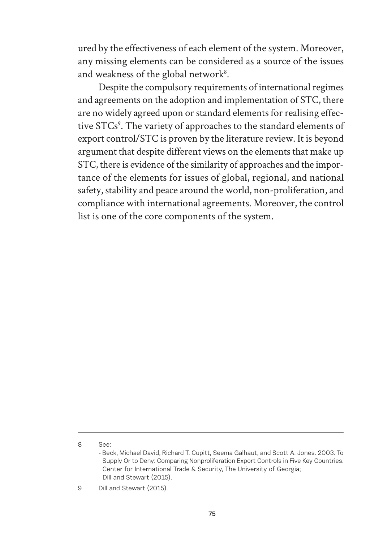ured by the effectiveness of each element of the system. Moreover, any missing elements can be considered as a source of the issues and weakness of the global network<sup>8</sup>.

Despite the compulsory requirements of international regimes and agreements on the adoption and implementation of STC, there are no widely agreed upon or standard elements for realising effective STCs<sup>9</sup>. The variety of approaches to the standard elements of export control/STC is proven by the literature review. It is beyond argument that despite different views on the elements that make up STC, there is evidence of the similarity of approaches and the importance of the elements for issues of global, regional, and national safety, stability and peace around the world, non-proliferation, and compliance with international agreements. Moreover, the control list is one of the core components of the system.

<sup>8</sup> See:

<sup>-</sup> Beck, Michael David, Richard T. Cupitt, Seema Galhaut, and Scott A. Jones. 2003. To Supply Or to Deny: Comparing Nonproliferation Export Controls in Five Key Countries. Center for International Trade & Security, The University of Georgia; - Dill and Stewart (2015).

<sup>9</sup> Dill and Stewart (2015).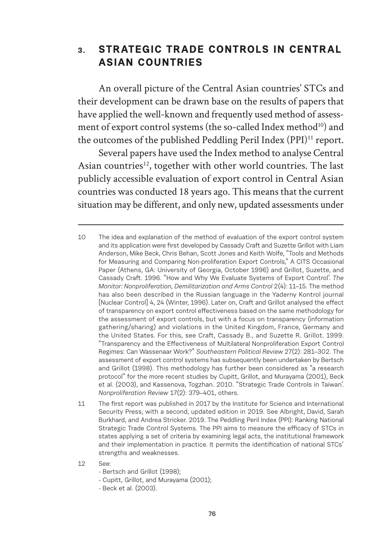## **3. STRATEGIC TRADE CONTROLS IN CENTRAL ASIAN COUNTRIES**

An overall picture of the Central Asian countries' STCs and their development can be drawn base on the results of papers that have applied the well-known and frequently used method of assessment of export control systems (the so-called Index method<sup>10</sup>) and the outcomes of the published Peddling Peril Index (PPI)<sup>11</sup> report.

Several papers have used the Index method to analyse Central Asian countries<sup>12</sup>, together with other world countries. The last publicly accessible evaluation of export control in Central Asian countries was conducted 18 years ago. This means that the current situation may be different, and only new, updated assessments under

- 12 See:
	- Bertsch and Grillot (1998);
	- Cupitt, Grillot, and Murayama (2001);
	- Beck et al. (2003).

<sup>10</sup> The idea and explanation of the method of evaluation of the export control system and its application were first developed by Cassady Craft and Suzette Grillot with Liam Anderson, Mike Beck, Chris Behan, Scott Jones and Keith Wolfe, "Tools and Methods for Measuring and Comparing Non-proliferation Export Controls," A CITS Occasional Paper (Athens, GA: University of Georgia, October 1996) and Grillot, Suzette, and Cassady Craft. 1996. "How and Why We Evaluate Systems of Export Control<sup>'</sup>. The *Monitor: Nonproliferation, Demilitarization and Arms Control* 2(4): 11–15. The method has also been described in the Russian language in the Yaderny Kontrol journal [Nuclear Control] 4, 24 (Winter, 1996). Later on, Craft and Grillot analysed the effect of transparency on export control effectiveness based on the same methodology for the assessment of export controls, but with a focus on transparency (information gathering/sharing) and violations in the United Kingdom, France, Germany and the United States. For this, see Craft, Cassady B., and Suzette R. Grillot. 1999. "Transparency and the E#ectiveness of Multilateral Nonproliferation Export Control Regimes: Can Wassenaar Work?" *Southeastern Political Review* 27(2): 281–302. The assessment of export control systems has subsequently been undertaken by Bertsch and Grillot (1998). This methodology has further been considered as "a research protocol" for the more recent studies by Cupitt, Grillot, and Murayama (2001), Beck et al. (2003), and Kassenova, Togzhan. 2010. "Strategic Trade Controls in Taiwan'. *Nonproliferation Review* 17(2): 379–401, others.

<sup>11</sup> The first report was published in 2017 by the Institute for Science and International Security Press, with a second, updated edition in 2019. See Albright, David, Sarah Burkhard, and Andrea Stricker. 2019. The Peddling Peril Index (PPI): Ranking National Strategic Trade Control Systems. The PPI aims to measure the efficacy of STCs in states applying a set of criteria by examining legal acts, the institutional framework and their implementation in practice. It permits the identification of national STCs' strengths and weaknesses.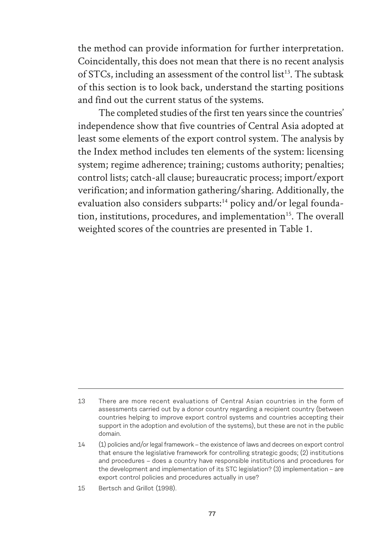the method can provide information for further interpretation. Coincidentally, this does not mean that there is no recent analysis of STCs, including an assessment of the control list<sup>13</sup>. The subtask of this section is to look back, understand the starting positions and find out the current status of the systems.

The completed studies of the first ten years since the countries' independence show that five countries of Central Asia adopted at least some elements of the export control system. The analysis by the Index method includes ten elements of the system: licensing system; regime adherence; training; customs authority; penalties; control lists; catch-all clause; bureaucratic process; import/export verification; and information gathering/sharing. Additionally, the evaluation also considers subparts:<sup>14</sup> policy and/or legal foundation, institutions, procedures, and implementation<sup>15</sup>. The overall weighted scores of the countries are presented in Table 1.

<sup>13</sup> There are more recent evaluations of Central Asian countries in the form of assessments carried out by a donor country regarding a recipient country (between countries helping to improve export control systems and countries accepting their support in the adoption and evolution of the systems), but these are not in the public domain.

<sup>14</sup> (1) policies and/or legal framework – the existence of laws and decrees on export control that ensure the legislative framework for controlling strategic goods; (2) institutions and procedures – does a country have responsible institutions and procedures for the development and implementation of its STC legislation? (3) implementation – are export control policies and procedures actually in use?

<sup>15</sup> Bertsch and Grillot (1998).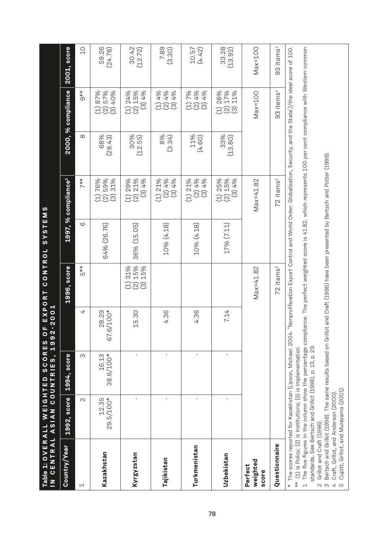| IN CENTRAL ASIAN COUNTRIES,<br>Table 1: OVERALL WEIGHTED                                                |                                                                                                                                                                                                                                                                                                                                                                                                                                                                                                                                                                             | SCORES             | $-2001$<br>ட<br>$\circ$<br>1992 | CONTROL<br>EXPORT                                                                                                  | SYSTEMS     |                                    |                |                                                     |                       |
|---------------------------------------------------------------------------------------------------------|-----------------------------------------------------------------------------------------------------------------------------------------------------------------------------------------------------------------------------------------------------------------------------------------------------------------------------------------------------------------------------------------------------------------------------------------------------------------------------------------------------------------------------------------------------------------------------|--------------------|---------------------------------|--------------------------------------------------------------------------------------------------------------------|-------------|------------------------------------|----------------|-----------------------------------------------------|-----------------------|
| Country/Year                                                                                            | 1992, score                                                                                                                                                                                                                                                                                                                                                                                                                                                                                                                                                                 | 1994, score        |                                 | 1996, score                                                                                                        |             | 1997, % compliance <sup>1</sup>    |                | 2000, % compliance                                  | 2001, score           |
| Ч                                                                                                       | $\sim$                                                                                                                                                                                                                                                                                                                                                                                                                                                                                                                                                                      | ω                  | 4                               | $\frac{*}{5}$                                                                                                      | ဖ           | $7**$                              | $\infty$       | $9**$                                               | $\overline{C}$        |
| Kazakhstan                                                                                              | $12.35$<br>$29.5/100*$                                                                                                                                                                                                                                                                                                                                                                                                                                                                                                                                                      | 38.6/100*<br>16.13 | $6/100*$<br>28.29<br>67.        |                                                                                                                    | 64% (26.76) | (2)59%<br>(1)76%<br>31%<br>$\odot$ | 68%<br>(28.43) | (2) 57%<br>87%<br>40%<br>$\odot$<br>$\widehat{\Xi}$ | 59.26<br>(24.78)      |
| <b>Kyrgyzstan</b>                                                                                       | $\blacksquare$                                                                                                                                                                                                                                                                                                                                                                                                                                                                                                                                                              | $\mathbf{I}$       | 15.30                           | 15%<br>15%<br>31%<br>$\widehat{2}$<br>$\odot$<br>$\ominus$                                                         | 36% (15.05) | (1) 29%<br>$(2)$ 21%<br>(3)4%      | 30%<br>(12.55) | (2) 15%<br>$(1)$ 24%<br>(3)4%                       | 30.42<br>(12.72)      |
| Tajikistan                                                                                              |                                                                                                                                                                                                                                                                                                                                                                                                                                                                                                                                                                             | I.                 | 4.36                            |                                                                                                                    | 10% (4.18)  | (2)4%<br>$(1)$ 21%<br>(3)4%        | 8%<br>(3.34)   | $(1)$ 4%<br>(2) 4%<br>4%<br>$\odot$                 | 7.89<br>(3.30)        |
| Turkmenistan                                                                                            | $\mathbf{I}$                                                                                                                                                                                                                                                                                                                                                                                                                                                                                                                                                                | $\mathbf{I}$       | 4.36                            |                                                                                                                    | 10% (4.18)  | (2)4%<br>$(1)$ 21%<br>(3)4%        | 11%<br>(4.60)  | $(1) 7%$<br>(2) 4%<br>(3)4%                         | 10.57<br>(4.42)       |
| Uzbekistan                                                                                              | $\mathbf{I}$                                                                                                                                                                                                                                                                                                                                                                                                                                                                                                                                                                | $\mathbf{I}$       | 7.14                            |                                                                                                                    | 17% (7.11)  | $(1)$ 25%<br>$(2)$ 15%<br>(3)4%    | 33%<br>(13.80) | (2) 17%<br>(1) 26%<br>11%<br>$\odot$                | 33.28<br>(13.92)      |
| weighted<br>Perfect<br>score                                                                            |                                                                                                                                                                                                                                                                                                                                                                                                                                                                                                                                                                             |                    |                                 | $Max=41.82$                                                                                                        |             | $Max=41.82$                        |                | $Max=100$                                           | $Max=100$             |
| Questionnaire                                                                                           |                                                                                                                                                                                                                                                                                                                                                                                                                                                                                                                                                                             |                    |                                 | 72 items <sup>2</sup>                                                                                              |             | 72 items <sup>3</sup>              |                | 93 items <sup>4</sup>                               | 93 items <sup>5</sup> |
| Grillot and Craft (1996).<br>$*$<br>$\overline{a}$<br>$\ast$<br>$\overline{a}$<br>LO<br>$\sim$ $\infty$ | The five figures in the column show the percentage compliance. The perfect weighted score is 41.82, which represents 100 per cent compliance with Western common<br>Bertsch and Grillot (1998). The same results based on Grillot and Craft (1996) have been presented by Bertsch and Potter (1999).<br>The scores reported for Kazakhstan (Lipson, Michael. 2004.<br>standards. See Bertsch and Grillot (1998), p. 13, p. 29.<br>(1) is Policy; (2) is Institutions; (3) is Implementation.<br>Cupitt, Grillot, and Murayama (2001)<br>Craft, Grillot, and Anderson (2000) |                    |                                 | "Nonproliferation Export Control and World Order: Globalization, Security, and the State')/the ideal score of 100. |             |                                    |                |                                                     |                       |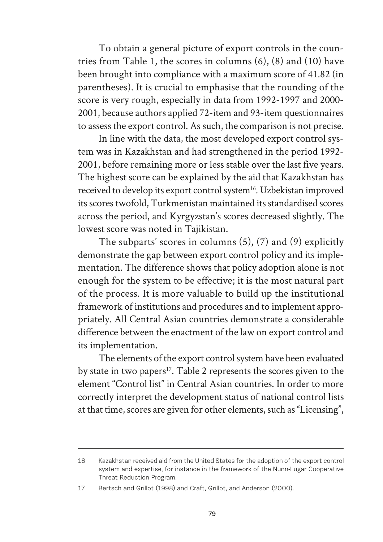To obtain a general picture of export controls in the countries from Table 1, the scores in columns (6), (8) and (10) have been brought into compliance with a maximum score of 41.82 (in parentheses). It is crucial to emphasise that the rounding of the score is very rough, especially in data from 1992-1997 and 2000- 2001, because authors applied 72-item and 93-item questionnaires to assess the export control. As such, the comparison is not precise.

In line with the data, the most developed export control system was in Kazakhstan and had strengthened in the period 1992- 2001, before remaining more or less stable over the last five years. The highest score can be explained by the aid that Kazakhstan has received to develop its export control system<sup>16</sup>. Uzbekistan improved its scores twofold, Turkmenistan maintained its standardised scores across the period, and Kyrgyzstan's scores decreased slightly. The lowest score was noted in Tajikistan.

The subparts' scores in columns (5), (7) and (9) explicitly demonstrate the gap between export control policy and its implementation. The difference shows that policy adoption alone is not enough for the system to be effective; it is the most natural part of the process. It is more valuable to build up the institutional framework of institutions and procedures and to implement appropriately. All Central Asian countries demonstrate a considerable difference between the enactment of the law on export control and its implementation.

The elements of the export control system have been evaluated by state in two papers<sup>17</sup>. Table 2 represents the scores given to the element "Control list" in Central Asian countries. In order to more correctly interpret the development status of national control lists at that time, scores are given for other elements, such as "Licensing",

<sup>16</sup> Kazakhstan received aid from the United States for the adoption of the export control system and expertise, for instance in the framework of the Nunn-Lugar Cooperative Threat Reduction Program.

<sup>17</sup> Bertsch and Grillot (1998) and Craft, Grillot, and Anderson (2000).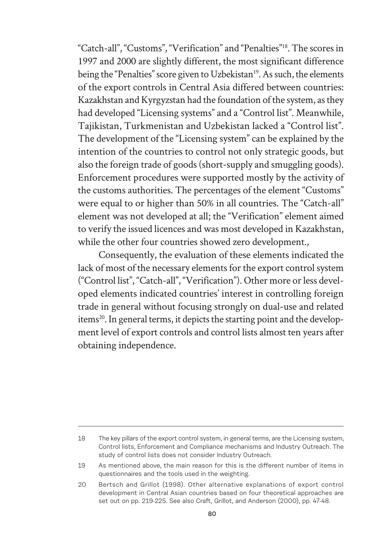"Catch-all", "Customs", "Verification" and "Penalties"18. The scores in 1997 and 2000 are slightly different, the most significant difference being the "Penalties" score given to Uzbekistan<sup>19</sup>. As such, the elements of the export controls in Central Asia differed between countries: Kazakhstan and Kyrgyzstan had the foundation of the system, as they had developed "Licensing systems" and a "Control list". Meanwhile, Tajikistan, Turkmenistan and Uzbekistan lacked a "Control list". The development of the "Licensing system" can be explained by the intention of the countries to control not only strategic goods, but also the foreign trade of goods (short-supply and smuggling goods). Enforcement procedures were supported mostly by the activity of the customs authorities. The percentages of the element "Customs" were equal to or higher than 50% in all countries. The "Catch-all" element was not developed at all; the "Verification" element aimed to verify the issued licences and was most developed in Kazakhstan, while the other four countries showed zero development.,

Consequently, the evaluation of these elements indicated the lack of most of the necessary elements for the export control system ("Control list", "Catch-all", "Verification"). Other more or less developed elements indicated countries' interest in controlling foreign trade in general without focusing strongly on dual-use and related items<sup>20</sup>. In general terms, it depicts the starting point and the development level of export controls and control lists almost ten years after obtaining independence.

<sup>18</sup> The key pillars of the export control system, in general terms, are the Licensing system, Control lists, Enforcement and Compliance mechanisms and Industry Outreach. The study of control lists does not consider Industry Outreach.

<sup>19</sup> As mentioned above, the main reason for this is the different number of items in questionnaires and the tools used in the weighting.

<sup>20</sup> Bertsch and Grillot (1998). Other alternative explanations of export control development in Central Asian countries based on four theoretical approaches are set out on pp. 219-225. See also Craft, Grillot, and Anderson (2000), pp. 47-48.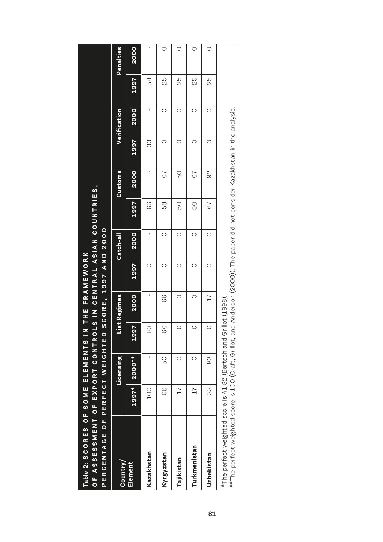| OF ASSESSMENT OF EXPORT CONTRO<br>PERCENTAGE OF PERFECT WEIGHTED<br>Table 2: SCORES OF SOME ELEMENTS II                                                                                               |                          |               |                       | N THE FRAMEWORK<br>SCORE, |         | LS IN CENTRAL ASIAN COUNTRIES,<br>1997 AND 2000 |      |                |      |              |      |           |
|-------------------------------------------------------------------------------------------------------------------------------------------------------------------------------------------------------|--------------------------|---------------|-----------------------|---------------------------|---------|-------------------------------------------------|------|----------------|------|--------------|------|-----------|
| Country/                                                                                                                                                                                              |                          | Licensing     |                       | List Regimes              |         | Catch-all                                       |      | <b>Customs</b> |      | Verification |      | Penalties |
| Element                                                                                                                                                                                               | $1997*$                  | <b>2000**</b> | D<br>$\frac{60}{100}$ | 2000                      | 1997    | 2000                                            | 1997 | 2000           | 1997 | 2000         | 1997 | 2000      |
| Kazakhstan                                                                                                                                                                                            | 100                      | I,            | ဤ<br>$\infty$         | I,                        | $\circ$ | ı                                               | 66   | ı              | ကွ   | ı            | 58   | ı         |
| <b>Kyrgyzstan</b>                                                                                                                                                                                     | 66                       | Сg            | čŏ                    | 66                        | O       | O                                               | 58   | 67             | O    | O            | 25   | O         |
| Tajikistan                                                                                                                                                                                            | $\overline{\mathcal{L}}$ | O             | $\circ$               | O                         | O       | $\circ$                                         | SQ   | 50             | O    | O            | 25   | $\circ$   |
| Turkmenistan                                                                                                                                                                                          | $\overline{\mathcal{L}}$ | O             | $\circ$               | O                         | O       | O                                               | 50   | 67             | O    | O            | 25   | $\circ$   |
| <b>Uzbekistan</b>                                                                                                                                                                                     | က္က                      | တ္တ           | $\circ$               | 77                        | O       | O                                               | 67   | 92             | O    | O            | 25   | O         |
| **The perfect weighted score is 100 (Craft, Grillot, and Anderson (2000)). The paper did not consider Kazakhstan in the analysis.<br>*The perfect weighted score is 41.82 (Bertsch and Grillot (1998) |                          |               |                       |                           |         |                                                 |      |                |      |              |      |           |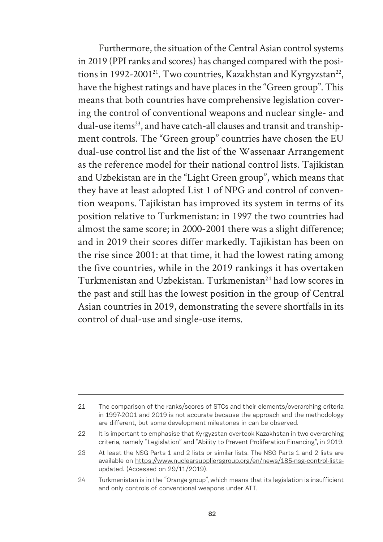Furthermore, the situation of the Central Asian control systems in 2019 (PPI ranks and scores) has changed compared with the positions in 1992-2001<sup>21</sup>. Two countries, Kazakhstan and Kyrgyzstan<sup>22</sup>, have the highest ratings and have places in the "Green group". This means that both countries have comprehensive legislation covering the control of conventional weapons and nuclear single- and dual-use items<sup>23</sup>, and have catch-all clauses and transit and transhipment controls. The "Green group" countries have chosen the EU dual-use control list and the list of the Wassenaar Arrangement as the reference model for their national control lists. Tajikistan and Uzbekistan are in the "Light Green group", which means that they have at least adopted List 1 of NPG and control of convention weapons. Tajikistan has improved its system in terms of its position relative to Turkmenistan: in 1997 the two countries had almost the same score; in 2000-2001 there was a slight difference; and in 2019 their scores differ markedly. Tajikistan has been on the rise since 2001: at that time, it had the lowest rating among the five countries, while in the 2019 rankings it has overtaken Turkmenistan and Uzbekistan. Turkmenistan<sup>24</sup> had low scores in the past and still has the lowest position in the group of Central Asian countries in 2019, demonstrating the severe shortfalls in its control of dual-use and single-use items.

<sup>21</sup> The comparison of the ranks/scores of STCs and their elements/overarching criteria in 1997-2001 and 2019 is not accurate because the approach and the methodology are different, but some development milestones in can be observed.

<sup>22</sup> It is important to emphasise that Kyrgyzstan overtook Kazakhstan in two overarching criteria, namely "Legislation" and "Ability to Prevent Proliferation Financing", in 2019.

<sup>23</sup> At least the NSG Parts 1 and 2 lists or similar lists. The NSG Parts 1 and 2 lists are available on https://www.nuclearsuppliersgroup.org/en/news/185-nsg-control-listsupdated. (Accessed on 29/11/2019).

<sup>24</sup> Turkmenistan is in the "Orange group", which means that its legislation is insufficient and only controls of conventional weapons under ATT.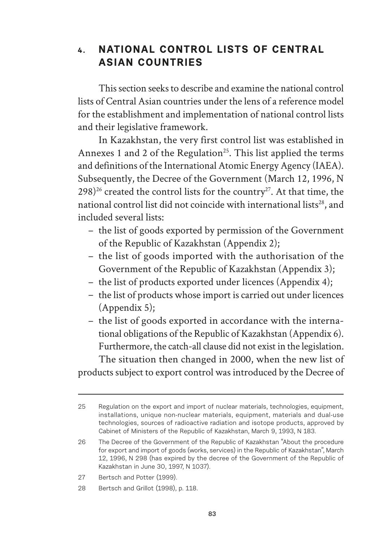## **4. NATIONAL CONTROL LISTS OF CENTRAL ASIAN COUNTRIES**

This section seeks to describe and examine the national control lists of Central Asian countries under the lens of a reference model for the establishment and implementation of national control lists and their legislative framework.

In Kazakhstan, the very first control list was established in Annexes 1 and 2 of the Regulation<sup>25</sup>. This list applied the terms and definitions of the International Atomic Energy Agency (IAEA). Subsequently, the Decree of the Government (March 12, 1996, N  $298)^{26}$  created the control lists for the country<sup>27</sup>. At that time, the national control list did not coincide with international lists<sup>28</sup>, and included several lists:

- the list of goods exported by permission of the Government of the Republic of Kazakhstan (Appendix 2);
- the list of goods imported with the authorisation of the Government of the Republic of Kazakhstan (Appendix 3);
- the list of products exported under licences (Appendix 4);
- the list of products whose import is carried out under licences (Appendix 5);
- the list of goods exported in accordance with the international obligations of the Republic of Kazakhstan (Appendix 6). Furthermore, the catch-all clause did not exist in the legislation. The situation then changed in 2000, when the new list of

products subject to export control was introduced by the Decree of

- 27 Bertsch and Potter (1999).
- 28 Bertsch and Grillot (1998), p. 118.

<sup>25</sup> Regulation on the export and import of nuclear materials, technologies, equipment, installations, unique non-nuclear materials, equipment, materials and dual-use technologies, sources of radioactive radiation and isotope products, approved by Cabinet of Ministers of the Republic of Kazakhstan, March 9, 1993, N 183.

<sup>26</sup> The Decree of the Government of the Republic of Kazakhstan "About the procedure for export and import of goods (works, services) in the Republic of Kazakhstan", March 12, 1996, N 298 (has expired by the decree of the Government of the Republic of Kazakhstan in June 30, 1997, N 1037).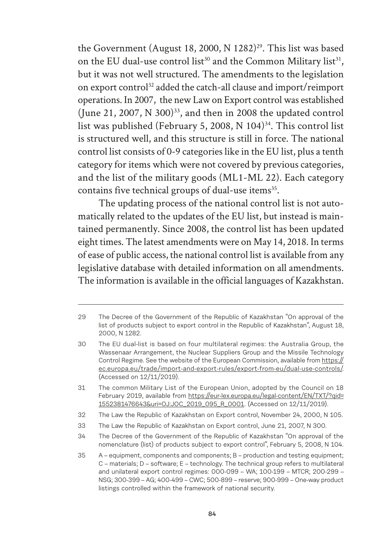the Government (August 18, 2000, N 1282)<sup>29</sup>. This list was based on the EU dual-use control list<sup>30</sup> and the Common Military list<sup>31</sup>, but it was not well structured. The amendments to the legislation on export control<sup>32</sup> added the catch-all clause and import/reimport operations. In 2007, the new Law on Export control was established (June 21, 2007, N 300) $^{33}$ , and then in 2008 the updated control list was published (February 5, 2008, N  $104$ )<sup>34</sup>. This control list is structured well, and this structure is still in force. The national control list consists of 0-9 categories like in the EU list, plus a tenth category for items which were not covered by previous categories, and the list of the military goods (ML1-ML 22). Each category contains five technical groups of dual-use items<sup>35</sup>.

The updating process of the national control list is not automatically related to the updates of the EU list, but instead is maintained permanently. Since 2008, the control list has been updated eight times. The latest amendments were on May 14, 2018. In terms of ease of public access, the national control list is available from any legislative database with detailed information on all amendments. The information is available in the official languages of Kazakhstan.

<sup>29</sup> The Decree of the Government of the Republic of Kazakhstan "On approval of the list of products subject to export control in the Republic of Kazakhstan", August 18, 2000, N 1282.

<sup>30</sup> The EU dual-list is based on four multilateral regimes: the Australia Group, the Wassenaar Arrangement, the Nuclear Suppliers Group and the Missile Technology Control Regime. See the website of the European Commission, available from https:// ec.europa.eu/trade/import-and-export-rules/export-from-eu/dual-use-controls/. (Accessed on 12/11/2019).

<sup>31</sup> The common Military List of the European Union, adopted by the Council on 18 February 2019, available from https://eur-lex.europa.eu/legal-content/EN/TXT/?gid= 1552381476643&uri=OJ:JOC\_2019\_095\_R\_0001. (Accessed on 12/11/2019).

<sup>32</sup> The Law the Republic of Kazakhstan on Export control, November 24, 2000, N 105.

<sup>33</sup> The Law the Republic of Kazakhstan on Export control, June 21, 2007, N 300.

<sup>34</sup> The Decree of the Government of the Republic of Kazakhstan "On approval of the nomenclature (list) of products subject to export control", February 5, 2008, N 104.

<sup>35</sup> A – equipment, components and components; B – production and testing equipment;  $C$  – materials;  $D$  – software;  $E$  – technology. The technical group refers to multilateral and unilateral export control regimes: 000-099 – WA; 100-199 – MTCR; 200-299 – NSG; 300-399 – AG; 400-499 – CWC; 500-899 – reserve; 900-999 – One-way product listings controlled within the framework of national security.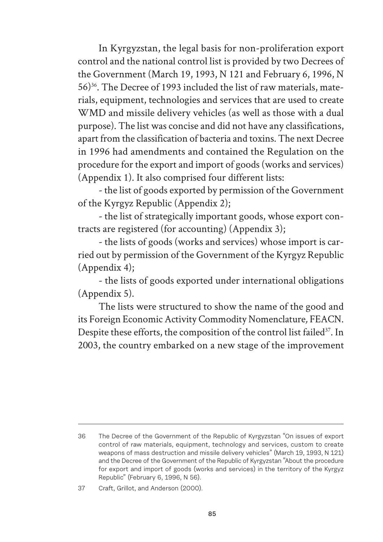In Kyrgyzstan, the legal basis for non-proliferation export control and the national control list is provided by two Decrees of the Government (March 19, 1993, N 121 and February 6, 1996, N 56)36. The Decree of 1993 included the list of raw materials, materials, equipment, technologies and services that are used to create WMD and missile delivery vehicles (as well as those with a dual purpose). The list was concise and did not have any classifications, apart from the classification of bacteria and toxins. The next Decree in 1996 had amendments and contained the Regulation on the procedure for the export and import of goods (works and services) (Appendix 1). It also comprised four different lists:

- the list of goods exported by permission of the Government of the Kyrgyz Republic (Appendix 2);

- the list of strategically important goods, whose export contracts are registered (for accounting) (Appendix 3);

- the lists of goods (works and services) whose import is carried out by permission of the Government of the Kyrgyz Republic (Appendix 4);

- the lists of goods exported under international obligations (Appendix 5).

The lists were structured to show the name of the good and its Foreign Economic Activity Commodity Nomenclature*,* FEACN. Despite these efforts, the composition of the control list failed<sup>37</sup>. In 2003, the country embarked on a new stage of the improvement

<sup>36</sup> The Decree of the Government of the Republic of Kyrgyzstan "On issues of export control of raw materials, equipment, technology and services, custom to create weapons of mass destruction and missile delivery vehicles" (March 19, 1993, N 121) and the Decree of the Government of the Republic of Kyrgyzstan "About the procedure for export and import of goods (works and services) in the territory of the Kyrgyz Republic" (February 6, 1996, N 56).

<sup>37</sup> Craft, Grillot, and Anderson (2000).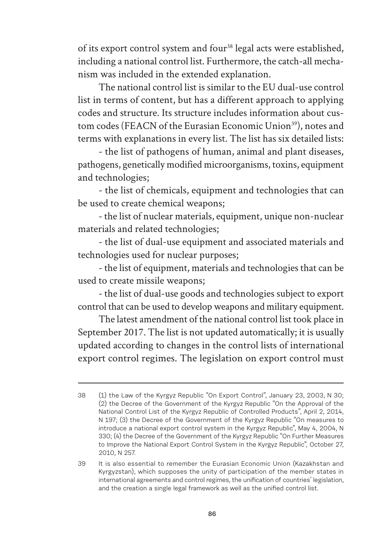of its export control system and four<sup>38</sup> legal acts were established, including a national control list. Furthermore, the catch-all mechanism was included in the extended explanation.

The national control list is similar to the EU dual-use control list in terms of content, but has a different approach to applying codes and structure. Its structure includes information about custom codes (FEACN of the Eurasian Economic Union<sup>39</sup>), notes and terms with explanations in every list. The list has six detailed lists:

- the list of pathogens of human, animal and plant diseases, pathogens, genetically modified microorganisms, toxins, equipment and technologies;

- the list of chemicals, equipment and technologies that can be used to create chemical weapons;

- the list of nuclear materials, equipment, unique non-nuclear materials and related technologies;

- the list of dual-use equipment and associated materials and technologies used for nuclear purposes;

- the list of equipment, materials and technologies that can be used to create missile weapons;

- the list of dual-use goods and technologies subject to export control that can be used to develop weapons and military equipment.

The latest amendment of the national control list took place in September 2017. The list is not updated automatically; it is usually updated according to changes in the control lists of international export control regimes. The legislation on export control must

<sup>38</sup> (1) the Law of the Kyrgyz Republic "On Export Control", January 23, 2003, N 30; (2) the Decree of the Government of the Kyrgyz Republic "On the Approval of the National Control List of the Kyrgyz Republic of Controlled Products", April 2, 2014, N 197; (3) the Decree of the Government of the Kyrgyz Republic "On measures to introduce a national export control system in the Kyrgyz Republic", May 4, 2004, N 330; (4) the Decree of the Government of the Kyrgyz Republic "On Further Measures to Improve the National Export Control System in the Kyrgyz Republic", October 27, 2010, N 257.

<sup>39</sup> It is also essential to remember the Eurasian Economic Union (Kazakhstan and Kyrgyzstan), which supposes the unity of participation of the member states in international agreements and control regimes, the unification of countries' legislation, and the creation a single legal framework as well as the unified control list.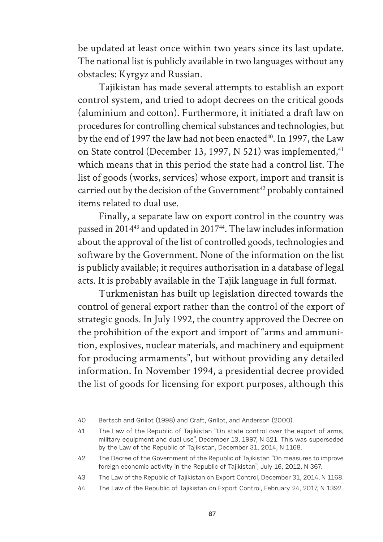be updated at least once within two years since its last update. The national list is publicly available in two languages without any obstacles: Kyrgyz and Russian.

Tajikistan has made several attempts to establish an export control system, and tried to adopt decrees on the critical goods (aluminium and cotton). Furthermore, it initiated a draft law on procedures for controlling chemical substances and technologies, but by the end of 1997 the law had not been enacted<sup>40</sup>. In 1997, the Law on State control (December 13, 1997, N 521) was implemented,<sup>41</sup> which means that in this period the state had a control list. The list of goods (works, services) whose export, import and transit is carried out by the decision of the Government<sup>42</sup> probably contained items related to dual use.

Finally, a separate law on export control in the country was passed in 201443 and updated in 201744. The law includes information about the approval of the list of controlled goods, technologies and software by the Government. None of the information on the list is publicly available; it requires authorisation in a database of legal acts. It is probably available in the Tajik language in full format.

Turkmenistan has built up legislation directed towards the control of general export rather than the control of the export of strategic goods. In July 1992, the country approved the Decree on the prohibition of the export and import of "arms and ammunition, explosives, nuclear materials, and machinery and equipment for producing armaments", but without providing any detailed information. In November 1994, a presidential decree provided the list of goods for licensing for export purposes, although this

<sup>40</sup> Bertsch and Grillot (1998) and Craft, Grillot, and Anderson (2000).

<sup>41</sup> The Law of the Republic of Tajikistan "On state control over the export of arms, military equipment and dual-use", December 13, 1997, N 521. This was superseded by the Law of the Republic of Tajikistan, December 31, 2014, N 1168.

<sup>42</sup> The Decree of the Government of the Republic of Tajikistan "On measures to improve foreign economic activity in the Republic of Tajikistan", July 16, 2012, N 367.

<sup>43</sup> The Law of the Republic of Tajikistan on Export Control, December 31, 2014, N 1168.

<sup>44</sup> The Law of the Republic of Tajikistan on Export Control, February 24, 2017, N 1392.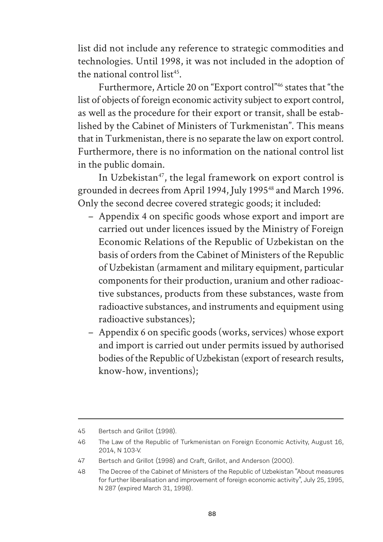list did not include any reference to strategic commodities and technologies. Until 1998, it was not included in the adoption of the national control list<sup>45</sup>.

Furthermore, Article 20 on "Export control"46 states that "the list of objects of foreign economic activity subject to export control, as well as the procedure for their export or transit, shall be established by the Cabinet of Ministers of Turkmenistan". This means that in Turkmenistan, there is no separate the law on export control. Furthermore, there is no information on the national control list in the public domain.

In Uzbekistan<sup>47</sup>, the legal framework on export control is grounded in decrees from April 1994, July 199548 and March 1996. Only the second decree covered strategic goods; it included:

- Appendix 4 on specific goods whose export and import are carried out under licences issued by the Ministry of Foreign Economic Relations of the Republic of Uzbekistan on the basis of orders from the Cabinet of Ministers of the Republic of Uzbekistan (armament and military equipment, particular components for their production, uranium and other radioactive substances, products from these substances, waste from radioactive substances, and instruments and equipment using radioactive substances);
- Appendix 6 on specific goods (works, services) whose export and import is carried out under permits issued by authorised bodies of the Republic of Uzbekistan (export of research results, know-how, inventions);

<sup>45</sup> Bertsch and Grillot (1998).

<sup>46</sup> The Law of the Republic of Turkmenistan on Foreign Economic Activity, August 16, 2014, N 103-V.

<sup>47</sup> Bertsch and Grillot (1998) and Craft, Grillot, and Anderson (2000).

<sup>48</sup> The Decree of the Cabinet of Ministers of the Republic of Uzbekistan "About measures for further liberalisation and improvement of foreign economic activity", July 25, 1995, N 287 (expired March 31, 1998).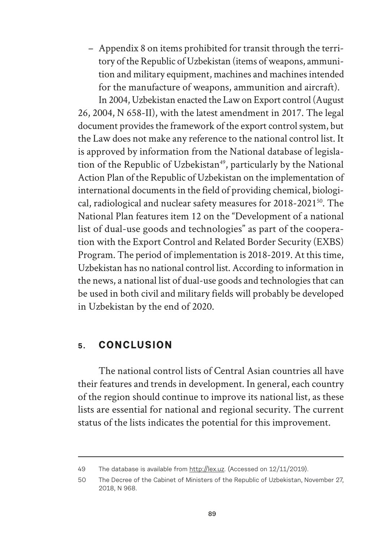– Appendix 8 on items prohibited for transit through the territory of the Republic of Uzbekistan (items of weapons, ammunition and military equipment, machines and machines intended for the manufacture of weapons, ammunition and aircraft).

In 2004, Uzbekistan enacted the Law on Export control (August 26, 2004, N 658-II), with the latest amendment in 2017. The legal document provides the framework of the export control system, but the Law does not make any reference to the national control list. It is approved by information from the National database of legislation of the Republic of Uzbekistan<sup>49</sup>, particularly by the National Action Plan of the Republic of Uzbekistan on the implementation of international documents in the field of providing chemical, biological, radiological and nuclear safety measures for 2018-202150. The National Plan features item 12 on the "Development of a national list of dual-use goods and technologies" as part of the cooperation with the Export Control and Related Border Security (EXBS) Program. The period of implementation is 2018-2019. At this time, Uzbekistan has no national control list. According to information in the news, a national list of dual-use goods and technologies that can be used in both civil and military fields will probably be developed in Uzbekistan by the end of 2020.

## **5. CONCLUSION**

The national control lists of Central Asian countries all have their features and trends in development. In general, each country of the region should continue to improve its national list, as these lists are essential for national and regional security. The current status of the lists indicates the potential for this improvement.

<sup>49</sup> The database is available from http://lex.uz. (Accessed on 12/11/2019).

<sup>50</sup> The Decree of the Cabinet of Ministers of the Republic of Uzbekistan, November 27, 2018, N 968.